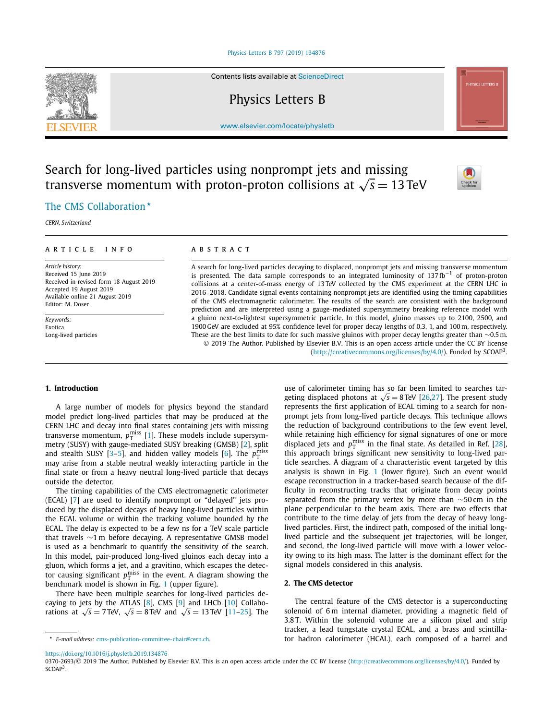#### [Physics Letters B 797 \(2019\) 134876](https://doi.org/10.1016/j.physletb.2019.134876)

Contents lists available at [ScienceDirect](http://www.ScienceDirect.com/)

Physics Letters B

[www.elsevier.com/locate/physletb](http://www.elsevier.com/locate/physletb)

# Search for long-lived particles using nonprompt jets and missing transverse momentum with proton-proton collisions at  $\sqrt{s} = 13$  TeV

# .The CMS [Collaboration](#page-8-0) *-*

*CERN, Switzerland*

#### A R T I C L E I N F O A B S T R A C T

*Article history:* Received 15 June 2019 Received in revised form 18 August 2019 Accepted 19 August 2019 Available online 21 August 2019 Editor: M. Doser

*Keywords:* Exotica Long-lived particles

A search for long-lived particles decaying to displaced, nonprompt jets and missing transverse momentum is presented. The data sample corresponds to an integrated luminosity of 137 $fb^{-1}$  of proton-proton collisions at a center-of-mass energy of 13 TeV collected by the CMS experiment at the CERN LHC in 2016–2018. Candidate signal events containing nonprompt jets are identified using the timing capabilities of the CMS electromagnetic calorimeter. The results of the search are consistent with the background prediction and are interpreted using a gauge-mediated supersymmetry breaking reference model with a gluino next-to-lightest supersymmetric particle. In this model, gluino masses up to 2100, 2500, and 1900 GeV are excluded at 95% confidence level for proper decay lengths of 0.3, 1, and 100 m, respectively. These are the best limits to date for such massive gluinos with proper decay lengths greater than ∼0.5m. © 2019 The Author. Published by Elsevier B.V. This is an open access article under the CC BY license [\(http://creativecommons.org/licenses/by/4.0/\)](http://creativecommons.org/licenses/by/4.0/). Funded by SCOAP3.

#### **1. Introduction**

A large number of models for physics beyond the standard model predict long-lived particles that may be produced at the CERN LHC and decay into final states containing jets with missing transverse momentum,  $p_T^{\text{miss}}$  [\[1\]](#page-7-0). These models include supersymmetry (SUSY) with gauge-mediated SUSY breaking (GMSB) [\[2\]](#page-7-0), split and stealth SUSY [\[3–5\]](#page-7-0), and hidden valley models [\[6\]](#page-7-0). The  $p_T^{\rm miss}$ may arise from a stable neutral weakly interacting particle in the final state or from a heavy neutral long-lived particle that decays outside the detector.

The timing capabilities of the CMS electromagnetic calorimeter (ECAL) [\[7\]](#page-7-0) are used to identify nonprompt or "delayed" jets produced by the displaced decays of heavy long-lived particles within the ECAL volume or within the tracking volume bounded by the ECAL. The delay is expected to be a few ns for a TeV scale particle that travels ∼1 m before decaying. A representative GMSB model is used as a benchmark to quantify the sensitivity of the search. In this model, pair-produced long-lived gluinos each decay into a gluon, which forms a jet, and a gravitino, which escapes the detector causing significant  $p_{\text{T}}^{\text{miss}}$  in the event. A diagram showing the benchmark model is shown in Fig. [1](#page-1-0) (upper figure).

There have been multiple searches for long-lived particles decaying to jets by the ATLAS [\[8\]](#page-7-0), CMS [\[9\]](#page-7-0) and LHCb [\[10\]](#page-7-0) Collaborations at  $\sqrt{s} = 7$  TeV,  $\sqrt{s} = 8$  TeV and  $\sqrt{s} = 13$  TeV [\[11–25\]](#page-7-0). The use of calorimeter timing has so far been limited to searches targeting displaced photons at  $\sqrt{s}$  = 8 TeV [\[26,27\]](#page-7-0). The present study represents the first application of ECAL timing to a search for nonprompt jets from long-lived particle decays. This technique allows the reduction of background contributions to the few event level, while retaining high efficiency for signal signatures of one or more displaced jets and  $p_T^{\text{miss}}$  in the final state. As detailed in Ref. [\[28\]](#page-7-0), this approach brings significant new sensitivity to long-lived particle searches. A diagram of a characteristic event targeted by this analysis is shown in Fig. [1](#page-1-0) (lower figure). Such an event would escape reconstruction in a tracker-based search because of the difficulty in reconstructing tracks that originate from decay points separated from the primary vertex by more than ∼50 cm in the plane perpendicular to the beam axis. There are two effects that contribute to the time delay of jets from the decay of heavy longlived particles. First, the indirect path, composed of the initial longlived particle and the subsequent jet trajectories, will be longer, and second, the long-lived particle will move with a lower velocity owing to its high mass. The latter is the dominant effect for the signal models considered in this analysis.

#### **2. The CMS detector**

The central feature of the CMS detector is a superconducting solenoid of 6 m internal diameter, providing a magnetic field of 3.8 T. Within the solenoid volume are a silicon pixel and strip tracker, a lead tungstate crystal ECAL, and a brass and scintillator hadron calorimeter (HCAL), each composed of a barrel and





*<sup>-</sup> E-mail address:* [cms-publication-committee-chair@cern.ch.](mailto:cms-publication-committee-chair@cern.ch)

<https://doi.org/10.1016/j.physletb.2019.134876>

<sup>0370-2693/© 2019</sup> The Author. Published by Elsevier B.V. This is an open access article under the CC BY license [\(http://creativecommons.org/licenses/by/4.0/](http://creativecommons.org/licenses/by/4.0/)). Funded by SCOAP<sup>3</sup>.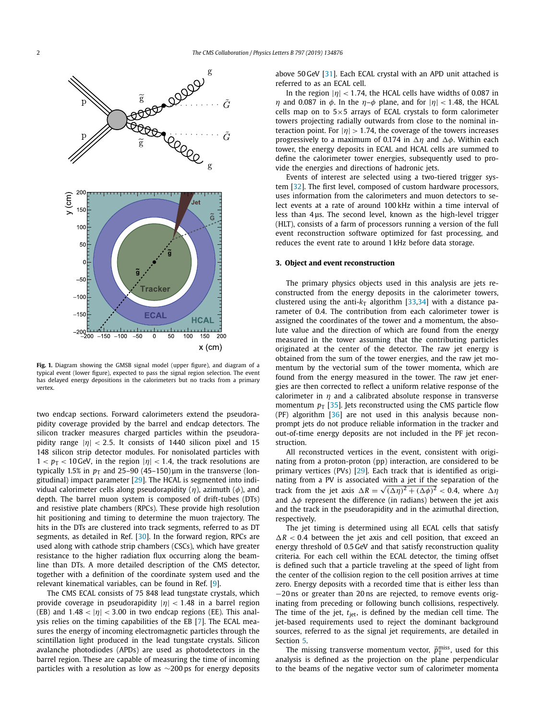<span id="page-1-0"></span>

**Fig. 1.** Diagram showing the GMSB signal model (upper figure), and diagram of a typical event (lower figure), expected to pass the signal region selection. The event has delayed energy depositions in the calorimeters but no tracks from a primary vertex.

two endcap sections. Forward calorimeters extend the pseudorapidity coverage provided by the barrel and endcap detectors. The silicon tracker measures charged particles within the pseudorapidity range |*η*| *<* <sup>2</sup>*.*5. It consists of <sup>1440</sup> silicon pixel and <sup>15</sup> 148 silicon strip detector modules. For nonisolated particles with  $1 < p_T < 10$  GeV, in the region  $|\eta| < 1.4$ , the track resolutions are typically 1.5% in  $p_T$  and 25–90 (45–150)  $\mu$ m in the transverse (longitudinal) impact parameter [\[29\]](#page-7-0). The HCAL is segmented into individual calorimeter cells along pseudorapidity (*η*), azimuth (*φ*), and depth. The barrel muon system is composed of drift-tubes (DTs) and resistive plate chambers (RPCs). These provide high resolution hit positioning and timing to determine the muon trajectory. The hits in the DTs are clustered into track segments, referred to as DT segments, as detailed in Ref. [\[30\]](#page-7-0). In the forward region, RPCs are used along with cathode strip chambers (CSCs), which have greater resistance to the higher radiation flux occurring along the beamline than DTs. A more detailed description of the CMS detector, together with a definition of the coordinate system used and the relevant kinematical variables, can be found in Ref. [\[9\]](#page-7-0).

The CMS ECAL consists of 75 848 lead tungstate crystals, which provide coverage in pseudorapidity |*η*| *<* <sup>1</sup>*.*48 in <sup>a</sup> barrel region (EB) and  $1.48 < |\eta| < 3.00$  in two endcap regions (EE). This analysis relies on the timing capabilities of the EB [\[7\]](#page-7-0). The ECAL measures the energy of incoming electromagnetic particles through the scintillation light produced in the lead tungstate crystals. Silicon avalanche photodiodes (APDs) are used as photodetectors in the barrel region. These are capable of measuring the time of incoming particles with a resolution as low as ∼200 ps for energy deposits above 50 GeV [\[31\]](#page-7-0). Each ECAL crystal with an APD unit attached is referred to as an ECAL cell.

In the region  $|\eta|$  < 1.74, the HCAL cells have widths of 0.087 in *η* and 0.087 in *φ*. In the *η*–*φ* plane, and for  $|η|$  < 1.48, the HCAL cells map on to  $5\times 5$  arrays of ECAL crystals to form calorimeter towers projecting radially outwards from close to the nominal interaction point. For  $|\eta| > 1.74$ , the coverage of the towers increases progressively to a maximum of 0.174 in  $\Delta \eta$  and  $\Delta \phi$ . Within each tower, the energy deposits in ECAL and HCAL cells are summed to define the calorimeter tower energies, subsequently used to provide the energies and directions of hadronic jets.

Events of interest are selected using a two-tiered trigger system [\[32\]](#page-7-0). The first level, composed of custom hardware processors, uses information from the calorimeters and muon detectors to select events at a rate of around 100 kHz within a time interval of less than 4 μs. The second level, known as the high-level trigger (HLT), consists of a farm of processors running a version of the full event reconstruction software optimized for fast processing, and reduces the event rate to around 1 kHz before data storage.

#### **3. Object and event reconstruction**

The primary physics objects used in this analysis are jets reconstructed from the energy deposits in the calorimeter towers, clustered using the anti- $k<sub>T</sub>$  algorithm [\[33,34\]](#page-7-0) with a distance parameter of 0.4. The contribution from each calorimeter tower is assigned the coordinates of the tower and a momentum, the absolute value and the direction of which are found from the energy measured in the tower assuming that the contributing particles originated at the center of the detector. The raw jet energy is obtained from the sum of the tower energies, and the raw jet momentum by the vectorial sum of the tower momenta, which are found from the energy measured in the tower. The raw jet energies are then corrected to reflect a uniform relative response of the calorimeter in *η* and a calibrated absolute response in transverse momentum  $p_T$  [\[35\]](#page-7-0). Jets reconstructed using the CMS particle flow (PF) algorithm [\[36\]](#page-7-0) are not used in this analysis because nonprompt jets do not produce reliable information in the tracker and out-of-time energy deposits are not included in the PF jet reconstruction.

All reconstructed vertices in the event, consistent with originating from a proton-proton (pp) interaction, are considered to be primary vertices (PVs) [\[29\]](#page-7-0). Each track that is identified as originating from a PV is associated with a jet if the separation of the track from the jet axis  $\Delta R = \sqrt{(\Delta \eta)^2 + (\Delta \phi)^2} < 0.4$ , where  $\Delta \eta$ and Δ $\phi$  represent the difference (in radians) between the jet axis and the track in the pseudorapidity and in the azimuthal direction, respectively.

The jet timing is determined using all ECAL cells that satisfy  $\Delta R$  < 0.4 between the jet axis and cell position, that exceed an energy threshold of 0.5 GeV and that satisfy reconstruction quality criteria. For each cell within the ECAL detector, the timing offset is defined such that a particle traveling at the speed of light from the center of the collision region to the cell position arrives at time zero. Energy deposits with a recorded time that is either less than −20 ns or greater than 20 ns are rejected, to remove events originating from preceding or following bunch collisions, respectively. The time of the jet,  $t_{jet}$ , is defined by the median cell time. The jet-based requirements used to reject the dominant background sources, referred to as the signal jet requirements, are detailed in Section [5.](#page-2-0)

The missing transverse momentum vector,  $\vec{p}_{\text{T}}^{\text{miss}}$ , used for this analysis is defined as the projection on the plane perpendicular to the beams of the negative vector sum of calorimeter momenta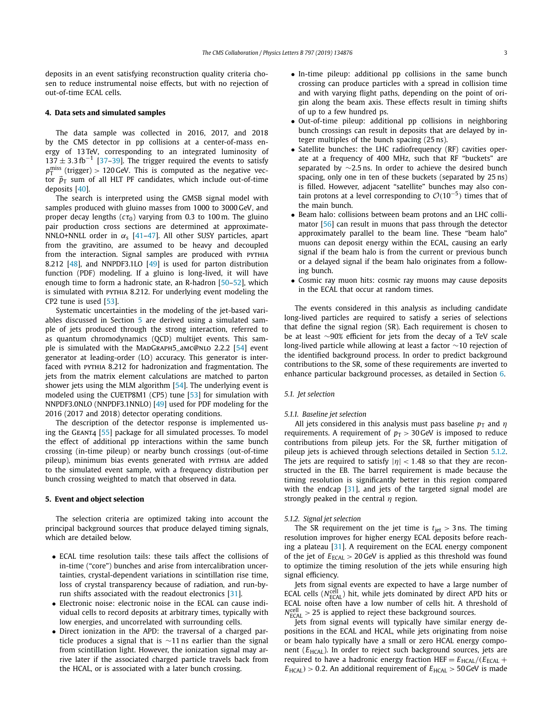<span id="page-2-0"></span>deposits in an event satisfying reconstruction quality criteria chosen to reduce instrumental noise effects, but with no rejection of out-of-time ECAL cells.

#### **4. Data sets and simulated samples**

The data sample was collected in 2016, 2017, and 2018 by the CMS detector in pp collisions at a center-of-mass energy of 13 TeV, corresponding to an integrated luminosity of  $137 \pm 3.3$  fb<sup>-1</sup> [37-39]. The trigger required the events to satisfy  $p_{\text{T}}^{\text{miss}}$  (trigger) > 120 GeV. This is computed as the negative vector  $\vec{p}_T$  sum of all HLT PF candidates, which include out-of-time deposits [\[40\]](#page-7-0).

The search is interpreted using the GMSB signal model with samples produced with gluino masses from 1000 to 3000 GeV, and proper decay lengths ( $c\tau_0$ ) varying from 0.3 to 100 m. The gluino pair production cross sections are determined at approximate-NNLO+NNLL order in  $\alpha_s$  [\[41–47\]](#page-7-0). All other SUSY particles, apart from the gravitino, are assumed to be heavy and decoupled from the interaction. Signal samples are produced with pythia 8.212 [\[48\]](#page-7-0), and NNPDF3.1LO [\[49\]](#page-7-0) is used for parton distribution function (PDF) modeling. If a gluino is long-lived, it will have enough time to form a hadronic state, an R-hadron [\[50–52\]](#page-8-0), which is simulated with pythia 8.212. For underlying event modeling the CP2 tune is used [\[53\]](#page-8-0).

Systematic uncertainties in the modeling of the jet-based variables discussed in Section 5 are derived using a simulated sample of jets produced through the strong interaction, referred to as quantum chromodynamics (QCD) multijet events. This sam-ple is simulated with the MADGRAPH5\_aMC@NLO 2.2.2 [\[54\]](#page-8-0) event generator at leading-order (LO) accuracy. This generator is interfaced with PYTHIA 8.212 for hadronization and fragmentation. The jets from the matrix element calculations are matched to parton shower jets using the MLM algorithm [\[54\]](#page-8-0). The underlying event is modeled using the CUETP8M1 (CP5) tune [\[53\]](#page-8-0) for simulation with NNPDF3.0NLO (NNPDF3.1NNLO) [\[49\]](#page-7-0) used for PDF modeling for the 2016 (2017 and 2018) detector operating conditions.

The description of the detector response is implemented us-ing the GEANT4 [\[55\]](#page-8-0) package for all simulated processes. To model the effect of additional pp interactions within the same bunch crossing (in-time pileup) or nearby bunch crossings (out-of-time pileup), minimum bias events generated with PYTHIA are added to the simulated event sample, with a frequency distribution per bunch crossing weighted to match that observed in data.

#### **5. Event and object selection**

The selection criteria are optimized taking into account the principal background sources that produce delayed timing signals, which are detailed below.

- ECAL time resolution tails: these tails affect the collisions of in-time ("core") bunches and arise from intercalibration uncertainties, crystal-dependent variations in scintillation rise time, loss of crystal transparency because of radiation, and run-byrun shifts associated with the readout electronics [\[31\]](#page-7-0).
- Electronic noise: electronic noise in the ECAL can cause individual cells to record deposits at arbitrary times, typically with low energies, and uncorrelated with surrounding cells.
- Direct ionization in the APD: the traversal of a charged particle produces a signal that is ∼11 ns earlier than the signal from scintillation light. However, the ionization signal may arrive later if the associated charged particle travels back from the HCAL, or is associated with a later bunch crossing.
- In-time pileup: additional pp collisions in the same bunch crossing can produce particles with a spread in collision time and with varying flight paths, depending on the point of origin along the beam axis. These effects result in timing shifts of up to a few hundred ps.
- Out-of-time pileup: additional pp collisions in neighboring bunch crossings can result in deposits that are delayed by integer multiples of the bunch spacing (25 ns).
- Satellite bunches: the LHC radiofrequency (RF) cavities operate at a frequency of 400 MHz, such that RF "buckets" are separated by ~2.5 ns. In order to achieve the desired bunch spacing, only one in ten of these buckets (separated by 25 ns) is filled. However, adjacent "satellite" bunches may also contain protons at <sup>a</sup> level corresponding to <sup>O</sup>*(*10−<sup>5</sup>*)* times that of the main bunch.
- Beam halo: collisions between beam protons and an LHC collimator [\[56\]](#page-8-0) can result in muons that pass through the detector approximately parallel to the beam line. These "beam halo" muons can deposit energy within the ECAL, causing an early signal if the beam halo is from the current or previous bunch or a delayed signal if the beam halo originates from a following bunch.
- Cosmic ray muon hits: cosmic ray muons may cause deposits in the ECAL that occur at random times.

The events considered in this analysis as including candidate long-lived particles are required to satisfy a series of selections that define the signal region (SR). Each requirement is chosen to be at least ∼90% efficient for jets from the decay of a TeV scale long-lived particle while allowing at least a factor ∼10 rejection of the identified background process. In order to predict background contributions to the SR, some of these requirements are inverted to enhance particular background processes, as detailed in Section [6.](#page-3-0)

#### *5.1. Jet selection*

#### *5.1.1. Baseline jet selection*

All jets considered in this analysis must pass baseline *p*<sub>T</sub> and *η* requirements. A requirement of  $p<sub>T</sub>$  > 30 GeV is imposed to reduce contributions from pileup jets. For the SR, further mitigation of pileup jets is achieved through selections detailed in Section 5.1.2. The jets are required to satisfy |*η*| *<* <sup>1</sup>*.*48 so that they are reconstructed in the EB. The barrel requirement is made because the timing resolution is significantly better in this region compared with the endcap [\[31\]](#page-7-0), and jets of the targeted signal model are strongly peaked in the central *η* region.

#### *5.1.2. Signal jet selection*

The SR requirement on the jet time is  $t_{\text{jet}} > 3$  ns. The timing resolution improves for higher energy ECAL deposits before reaching a plateau [\[31\]](#page-7-0). A requirement on the ECAL energy component of the jet of  $E_{\text{ECAL}} > 20$  GeV is applied as this threshold was found to optimize the timing resolution of the jets while ensuring high signal efficiency.

Jets from signal events are expected to have a large number of ECAL cells  $(N_{\text{ECAL}}^{\text{cell}})$  hit, while jets dominated by direct APD hits or ECAL noise often have a low number of cells hit. A threshold of  $N_{\text{ECAL}}^{\text{cell}} > 25$  is applied to reject these background sources.

Jets from signal events will typically have similar energy depositions in the ECAL and HCAL, while jets originating from noise or beam halo typically have a small or zero HCAL energy component ( $E_{\text{HCAL}}$ ). In order to reject such background sources, jets are required to have a hadronic energy fraction  $HEF = E_{HCAL}/(E_{ECAL} +$  $E_{\text{HCAL}}$  $> 0.2$ . An additional requirement of  $E_{\text{HCAL}}$  $> 50$  GeV is made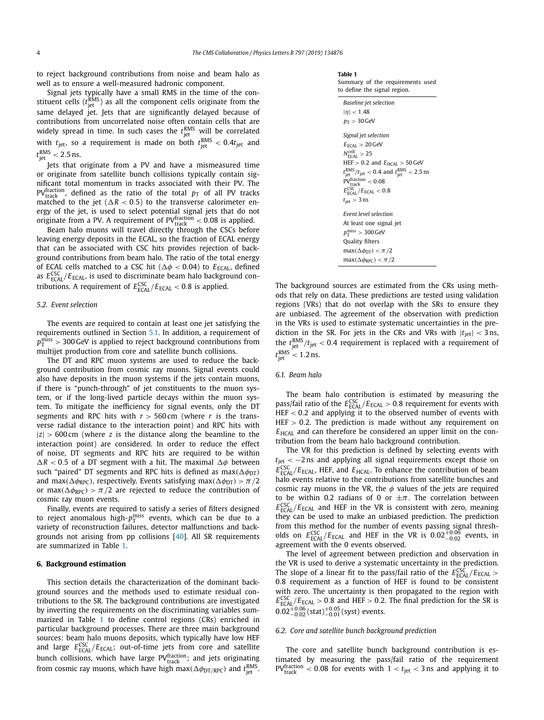<span id="page-3-0"></span>to reject background contributions from noise and beam halo as well as to ensure a well-measured hadronic component.

Signal jets typically have a small RMS in the time of the constituent cells ( $t_{\rm jet}^{\rm RMS}$ ) as all the component cells originate from the same delayed jet. Jets that are significantly delayed because of contributions from uncorrelated noise often contain cells that are widely spread in time. In such cases the  $t_{\rm jet}^{\rm RMS}$  will be correlated with  $t_{\rm jet}$ , so a requirement is made on both  $t_{\rm jet}^{\rm RMS} < 0.4 t_{\rm jet}$  and  $t_{\rm jet}^{\rm RMS} <$  2.5 ns.

Jets that originate from a PV and have a mismeasured time or originate from satellite bunch collisions typically contain significant total momentum in tracks associated with their PV. The PV<sup>fraction</sup>, defined as the ratio of the total  $p_T$  of all PV tracks matched to the jet ( $\Delta R < 0.5$ ) to the transverse calorimeter energy of the jet, is used to select potential signal jets that do not originate from a PV. A requirement of  $PV_{\text{track}}^{\text{fraction}} < 0.08$  is applied.

Beam halo muons will travel directly through the CSCs before leaving energy deposits in the ECAL, so the fraction of ECAL energy that can be associated with CSC hits provides rejection of background contributions from beam halo. The ratio of the total energy of ECAL cells matched to a CSC hit (*φ <* 0*.*04) to *E*ECAL, defined as  $E_{\text{ECAL}}^{\text{CSC}}/E_{\text{ECAL}}$ , is used to discriminate beam halo background contributions. A requirement of  $E_{\rm ECAL}^{\rm CSC}/E_{\rm ECAL} < 0.8$  is applied.

#### *5.2. Event selection*

The events are required to contain at least one jet satisfying the requirements outlined in Section [5.1.](#page-2-0) In addition, a requirement of  $p_{\rm T}^{\rm miss}$   $>$  300 GeV is applied to reject background contributions from multijet production from core and satellite bunch collisions.

The DT and RPC muon systems are used to reduce the background contribution from cosmic ray muons. Signal events could also have deposits in the muon systems if the jets contain muons, if there is "punch-through" of jet constituents to the muon system, or if the long-lived particle decays within the muon system. To mitigate the inefficiency for signal events, only the DT segments and RPC hits with  $r > 560 \text{ cm}$  (where *r* is the transverse radial distance to the interaction point) and RPC hits with  $|z| > 600$  cm (where *z* is the distance along the beamline to the interaction point) are considered. In order to reduce the effect of noise, DT segments and RPC hits are required to be within  $\Delta R < 0.5$  of a DT segment with a hit. The maximal  $\Delta \phi$  between such "paired" DT segments and RPC hits is defined as max( $Δφ$ <sub>DT</sub>) and max $(\Delta \phi_{\text{RPC}})$ , respectively. Events satisfying max $(\Delta \phi_{\text{DT}}) > \pi/2$ or max $(\Delta \phi_{RPC})$  >  $\pi/2$  are rejected to reduce the contribution of cosmic ray muon events.

Finally, events are required to satisfy a series of filters designed to reject anomalous high- $p_{\rm T}^{\rm miss}$  events, which can be due to a variety of reconstruction failures, detector malfunctions and backgrounds not arising from pp collisions [\[40\]](#page-7-0). All SR requirements are summarized in Table 1.

#### **6. Background estimation**

This section details the characterization of the dominant background sources and the methods used to estimate residual contributions to the SR. The background contributions are investigated by inverting the requirements on the discriminating variables summarized in Table 1 to define control regions (CRs) enriched in particular background processes. There are three main background sources: beam halo muons deposits, which typically have low HEF and large  $E_{\text{ECAL}}^{\text{CSC}}/E_{\text{ECAL}}$ ; out-of-time jets from core and satellite bunch collisions, which have large  $PV_{\rm track}^{\rm fraction}$ ; and jets originating from cosmic ray muons, which have high max $(\Delta\phi_{\text{DT/RPC}})$  and  $t_{\text{jet}}^{\text{RMS}}$ .

#### **Table 1** Summary of the requirements used to define the signal region. *Baseline jet selection*  $|n| < 1.48$  $p_T > 30$  GeV *Signal jet selection*  $E_{\text{ECAL}}$   $> 20$  GeV  $N_{\text{ECAL}}^{\text{cell}} > 25$ HEF *>* 0*.*2 and *E*HCAL *>* 50 GeV  $t_{\rm jet}^{\rm RMS}/t_{\rm jet} < 0.4$  and  $t_{\rm jet}^{\rm RMS} < 2.5$  ns PVfraction track *<* 0*.*08  $E_{\text{ECAL}}^{\text{CSC}}/E_{\text{ECAL}} < 0.8$  $t_{\text{jet}} > 3 \text{ ns}$ *Event level selection* At least one signal jet  $p_{\rm T}^{\rm miss} > 300$  GeV Quality filters  $max(\Delta \phi_{DT}) < \pi/2$  $max(\Delta \phi_{RPC}) < \pi/2$

The background sources are estimated from the CRs using methods that rely on data. These predictions are tested using validation regions (VRs) that do not overlap with the SRs to ensure they are unbiased. The agreement of the observation with prediction in the VRs is used to estimate systematic uncertainties in the prediction in the SR. For jets in the CRs and VRs with  $|t_{jet}| < 3$  ns, the  $t_{jet}^{RMS}/t_{jet} < 0.4$  requirement is replaced with a requirement of  $t_{\rm jet}^{\rm RMS} < 1.2 \, \rm ns.$ 

#### *6.1. Beam halo*

The beam halo contribution is estimated by measuring the  $pass/fail$  ratio of the  $E_{ECAL}^{CSC}/E_{ECAL} > 0.8$  requirement for events with HEF *<* 0*.*2 and applying it to the observed number of events with HEF *>* 0*.*2. The prediction is made without any requirement on *E*HCAL and can therefore be considered an upper limit on the contribution from the beam halo background contribution.

The VR for this prediction is defined by selecting events with *t*jet *<* −2 ns and applying all signal requirements except those on *E*CSC ECAL*/E*ECAL, HEF, and *E*HCAL. To enhance the contribution of beam halo events relative to the contributions from satellite bunches and cosmic ray muons in the VR, the *φ* values of the jets are required to be within 0.2 radians of <sup>0</sup> or ±*π*. The correlation between *E*CSC ECAL*/E*ECAL and HEF in the VR is consistent with zero, meaning they can be used to make an unbiased prediction. The prediction from this method for the number of events passing signal thresholds on  $E_{\text{ECAL}}^{\text{CSC}}/E_{\text{ECAL}}$  and HEF in the VR is  $0.02_{-0.02}^{+0.06}$  events, in agreement with the 0 events observed.

The level of agreement between prediction and observation in the VR is used to derive a systematic uncertainty in the prediction. The slope of a linear fit to the pass/fail ratio of the  $E_{\text{ECAL}}^{\text{CSC}}/E_{\text{ECAL}} >$ 0*.*8 requirement as a function of HEF is found to be consistent with zero. The uncertainty is then propagated to the region with  $E_{\text{ECAL}}^{\text{CSC}}/E_{\text{ECAL}} > 0.8$  and HEF  $> 0.2$ . The final prediction for the SR is 0*.*02+0*.*<sup>06</sup> <sup>−</sup>0*.*<sup>02</sup> (stat)+0*.*<sup>05</sup> <sup>−</sup>0*.*<sup>01</sup> (syst) events.

#### *6.2. Core and satellite bunch background prediction*

The core and satellite bunch background contribution is estimated by measuring the pass/fail ratio of the requirement  $PV_{\text{track}}^{\text{fraction}}$  < 0.08 for events with  $1 < t_{\text{jet}} < 3 \text{ ns}$  and applying it to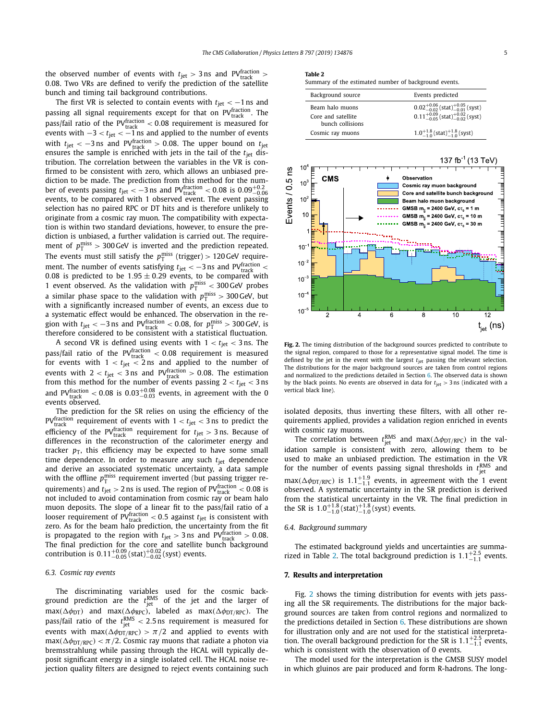the observed number of events with  $t_{jet} > 3 \text{ ns}$  and  $PV_{track}^{fraction} >$ 0*.*08. Two VRs are defined to verify the prediction of the satellite bunch and timing tail background contributions.

The first VR is selected to contain events with  $t_{\text{jet}} < -1$  ns and passing all signal requirements except for that on  $PV_{\rm track}^{\rm fraction}$ . The  $pass/fail$  ratio of the  $PV<sub>track</sub><sup>fraction</sup> < 0.08$  requirement is measured for events with −3 *< t*jet *<* −1 ns and applied to the number of events with  $t_{jet} < -3$  ns and PV $_{\text{track}}^{fraction} > 0.08$ . The upper bound on  $t_{jet}$ ensures the sample is enriched with jets in the tail of the  $t_{\text{jet}}$  distribution. The correlation between the variables in the VR is confirmed to be consistent with zero, which allows an unbiased prediction to be made. The prediction from this method for the number of events passing  $t_{\text{jet}} < -3$  ns and  $\text{PV}^{\text{fraction}}_{\text{track}} < 0.08$  is  $0.09^{+0.2}_{-0.06}$ events, to be compared with 1 observed event. The event passing selection has no paired RPC or DT hits and is therefore unlikely to originate from a cosmic ray muon. The compatibility with expectation is within two standard deviations, however, to ensure the prediction is unbiased, a further validation is carried out. The requirement of  $p_T^{\text{miss}} > 300 \text{ GeV}$  is inverted and the prediction repeated. The events must still satisfy the  $p_T^{\text{miss}}$  (trigger)  $> 120$  GeV requirement. The number of events satisfying  $t_{jet} < -3$  ns and PV $_{\text{track}}^{\text{fraction}} <$ 0.08 is predicted to be  $1.95 \pm 0.29$  events, to be compared with 1 event observed. As the validation with  $p_T^{\text{miss}} < 300 \,\text{GeV}$  probes a similar phase space to the validation with  $p_T^{\text{miss}} > 300$  GeV, but with a significantly increased number of events, an excess due to a systematic effect would be enhanced. The observation in the region with  $t_{\text{jet}} < -3 \text{ ns}$  and  $\text{PV}_{\text{track}}^{\text{fraction}} < 0.08$ , for  $p_{\text{T}}^{\text{miss}} > 300 \text{ GeV}$ , is therefore considered to be consistent with a statistical fluctuation.

A second VR is defined using events with  $1 < t_{jet} < 3$  ns. The pass/fail ratio of the  $PV_{\text{track}}^{\text{fraction}} < 0.08$  requirement is measured for events with 1 *< t*jet *<* 2 ns and applied to the number of events with  $2 < t_{\rm jet} < 3 \,\rm ns$  and  $PV_{\rm track}^{\rm fraction} > 0.08$ . The estimation from this method for the number of events passing  $2 < t_{jet} < 3$  ns and PV<sup>fraction</sup>  $<$  0.08 is 0.03<sup> $+0.08$ </sup> events, in agreement with the 0 events observed.

The prediction for the SR relies on using the efficiency of the PV $_{\text{track}}^{\text{fraction}}$  requirement of events with  $1 < t_{\text{jet}} < 3 \text{ ns}$  to predict the efficiency of the PV $_{\text{track}}^{\text{fraction}}$  requirement for  $t_{\text{jet}} > 3 \text{ ns}$ . Because of differences in the reconstruction of the calorimeter energy and tracker  $p<sub>T</sub>$ , this efficiency may be expected to have some small time dependence. In order to measure any such  $t_{\text{jet}}$  dependence and derive an associated systematic uncertainty, a data sample with the offline  $p_{\rm T}^{\rm miss}$  requirement inverted (but passing trigger requirements) and  $t_{\rm jet} > 2 \,\text{ns}$  is used. The region of PV  $_{\rm track}^{fraction} < 0.08$  is not included to avoid contamination from cosmic ray or beam halo muon deposits. The slope of a linear fit to the pass/fail ratio of a looser requirement of  $PV_{\text{track}}^{\text{fraction}} < 0.5$  against  $t_{\text{jet}}$  is consistent with zero. As for the beam halo prediction, the uncertainty from the fit is propagated to the region with  $t_{jet} > 3$  ns and  $PV_{track}^{fraction} > 0.08$ . The final prediction for the core and satellite bunch background<br>contribution is 0.11<sup>+0.09</sup> (stat)<sup>+0.02</sup> (syst) events.

#### *6.3. Cosmic ray events*

The discriminating variables used for the cosmic background prediction are the  $t_{\rm jet}^{\rm RMS}$  of the jet and the larger of max*(φ*DT*)* and max*(φ*RPC*)*, labeled as max*(φ*DT*/*RPC*)*. The pass/fail ratio of the  $t_{jet}^{RMS} < 2.5 \,\text{ns}$  requirement is measured for events with max $(\Delta \phi_{DT/RPC}) > \pi/2$  and applied to events with  $max(\Delta\phi_{DT/RPC}) < \pi/2$ . Cosmic ray muons that radiate a photon via bremsstrahlung while passing through the HCAL will typically deposit significant energy in a single isolated cell. The HCAL noise rejection quality filters are designed to reject events containing such

#### **Table 2**

Summary of the estimated number of background events.

| Background source                      | Events predicted                                                   |
|----------------------------------------|--------------------------------------------------------------------|
| Beam halo muons                        | $0.02^{+0.06}_{-0.02}$ (stat) <sup><math>+0.05</math></sup> (syst) |
| Core and satellite<br>bunch collisions | $0.11^{+0.09}_{-0.05}$ (stat) $^{+0.02}_{-0.02}$ (syst)            |
| Cosmic ray muons                       | $1.0^{+1.8}_{-1.0}$ (stat) $^{+1.8}_{-1.0}$ (syst)                 |



**Fig. 2.** The timing distribution of the background sources predicted to contribute to the signal region, compared to those for a representative signal model. The time is defined by the jet in the event with the largest  $t_{\text{jet}}$  passing the relevant selection. The distributions for the major background sources are taken from control regions and normalized to the predictions detailed in Section  $6$ . The observed data is shown by the black points. No events are observed in data for  $t_{jet} > 3$  ns (indicated with a vertical black line).

isolated deposits, thus inverting these filters, with all other requirements applied, provides a validation region enriched in events with cosmic ray muons.

The correlation between  $t_{\rm jet}^{\rm RMS}$  and  ${\rm max}(\Delta\phi_{\rm DT/RPC})$  in the validation sample is consistent with zero, allowing them to be used to make an unbiased prediction. The estimation in the VR for the number of events passing signal thresholds in  $t_{jet}^{RMS}$  and  $\max(\Delta\phi_{\text{DT/RPC}})$  is 1.1<sup>+1.9</sup> events, in agreement with the 1 events observed. A systematic uncertainty in the SR prediction is derived from the statistical uncertainty in the VR. The final prediction in the SR is  $1.0^{+1.8}_{-1.0}$  (stat) $^{+1.8}_{-1.0}$  (syst) events.

#### *6.4. Background summary*

The estimated background yields and uncertainties are summarized in Table 2. The total background prediction is  $1.1^{+2.5}_{-1.1}$  events.

#### **7. Results and interpretation**

Fig. 2 shows the timing distribution for events with jets passing all the SR requirements. The distributions for the major background sources are taken from control regions and normalized to the predictions detailed in Section [6.](#page-3-0) These distributions are shown for illustration only and are not used for the statistical interpretation. The overall background prediction for the SR is  $1.1^{+2.5}_{-1.1}$  events, which is consistent with the observation of 0 events.

The model used for the interpretation is the GMSB SUSY model in which gluinos are pair produced and form R-hadrons. The long-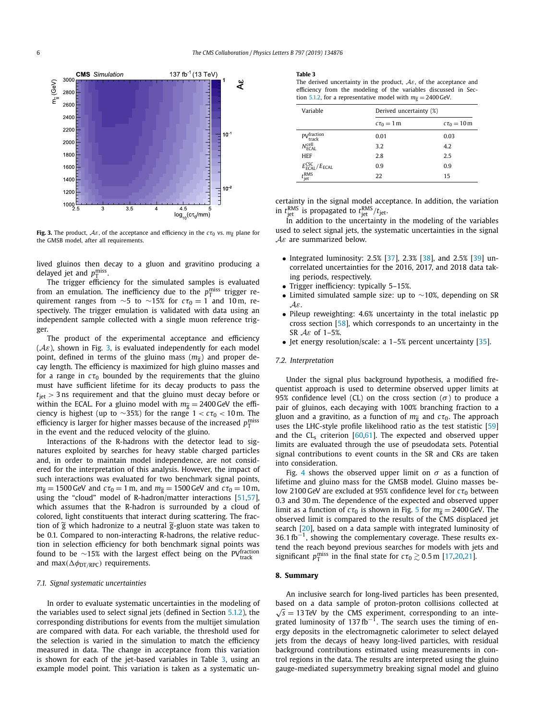

the GMSB model, after all requirements.

lived gluinos then decay to a gluon and gravitino producing a delayed jet and  $p_{\rm T}^{\rm miss}.$ 

The trigger efficiency for the simulated samples is evaluated from an emulation. The inefficiency due to the  $p_T^{\rm miss}$  trigger requirement ranges from ∼5 to ~15% for  $c\tau_0 = 1$  and 10 m, respectively. The trigger emulation is validated with data using an independent sample collected with a single muon reference trigger.

The product of the experimental acceptance and efficiency The product of the experimental acceptance and efficiency ( $A\varepsilon$ ), shown in Fig. 3, is evaluated independently for each model point, defined in terms of the gluino mass ( $m_{\tilde{g}}$ ) and proper depoint, defined in terms of the gluino mass ( $m_{\tilde{g}}$ ) and proper decay length. The efficiency is maximized for high gluino masses and for a range in  $c\tau_0$  bounded by the requirements that the gluino must have sufficient lifetime for its decay products to pass the  $t_{\text{jet}}$   $>$  3 ns requirement and that the gluino must decay before or must have sufficient lifetime for its decay products to pass the  $t_{\text{jet}} > 3$  ns requirement and that the gluino must decay before or within the ECAL. For a gluino model with  $m_{\tilde{g}} = 2400 \text{ GeV}$  the efficiency is highest (up to ~35%) for the range  $1 < c\tau_0 < 10$  m. The efficiency is larger for higher masses because of the increased  $p_{\rm T}^{\rm miss}$ in the event and the reduced velocity of the gluino.

Interactions of the R-hadrons with the detector lead to signatures exploited by searches for heavy stable charged particles and, in order to maintain model independence, are not considered for the interpretation of this analysis. However, the impact of such interactions was evaluated for two benchmark signal points, ered for the interpretation of this analysis. However, the impact of such interactions was evaluated for two benchmark signal points,  $m_{\tilde{g}} = 1500 \text{ GeV}$  and  $c\tau_0 = 1 \text{ m}$ , and  $m_{\tilde{g}} = 1500 \text{ GeV}$  and  $c\tau_0 = 10 \text$ using the "cloud" model of R-hadron/matter interactions [\[51,57\]](#page-8-0), which assumes that the R-hadron is surrounded by a cloud of colored, light constituents that interact during scattering. The fraction of  $\tilde{g}$  which hadro which assumes that the R-hadron is surrounded by a cloud of colored, light constituents that interact during scattering. The fraction of  $\widetilde{g}$  which hadronize to a neutral  $\widetilde{g}$ -gluon state was taken to be 0.1. Compared to non-interacting R-hadrons, the relative reduction in selection efficiency for both benchmark signal points was found to be  $\sim$ 15% with the largest effect being on the PV $_{\rm track}^{\rm fraction}$ and max( $Δφ$ <sub>DT/RPC</sub>) requirements.

#### *7.1. Signal systematic uncertainties*

In order to evaluate systematic uncertainties in the modeling of the variables used to select signal jets (defined in Section [5.1.2\)](#page-2-0), the corresponding distributions for events from the multijet simulation are compared with data. For each variable, the threshold used for the selection is varied in the simulation to match the efficiency measured in data. The change in acceptance from this variation is shown for each of the jet-based variables in Table 3, using an example model point. This variation is taken as a systematic un-

#### **Table 3**

The derived uncertainty in the product, A*ε*, of the acceptance and efficiency from the modeling of the variables discussed in Sec-The derived uncertainty in the product,  $A\varepsilon$ , of the accepefficiency from the modeling of the variables discusse tion [5.1.2,](#page-2-0) for a representative model with  $m_{\tilde{g}} = 2400 \text{ GeV}$ .

| Variable                                       | Derived uncertainty (%) |                             |
|------------------------------------------------|-------------------------|-----------------------------|
|                                                | $c\tau_0=1\,\mathrm{m}$ | $c\tau_0 = 10 \,\mathrm{m}$ |
| <b>p</b> V <sup>fraction</sup><br>track        | 0.01                    | 0.03                        |
| N <sub>ECAL</sub>                              | 3.2                     | 4.2                         |
| <b>HEF</b>                                     | 2.8                     | 2.5                         |
| $E_{\text{ECAL}}^{\text{CSC}}/E_{\text{ECAL}}$ | 0.9                     | 0.9                         |
| $t_{\rm jet}^{\rm RMS}$                        | 22                      | 15                          |

certainty in the signal model acceptance. In addition, the variation in  $t_{\rm jet}^{\rm RMS}$  is propagated to  $t_{\rm jet}^{\rm RMS}/t_{\rm jet}$ .

In addition to the uncertainty in the modeling of the variables used to select signal jets, the systematic uncertainties in the signal A*ε* are summarized below.

- Integrated luminosity: 2.5% [\[37\]](#page-7-0), 2.3% [\[38\]](#page-7-0), and 2.5% [\[39\]](#page-7-0) uncorrelated uncertainties for the 2016, 2017, and 2018 data taking periods, respectively.
- Trigger inefficiency: typically 5–15%.
- Limited simulated sample size: up to  $\sim$ 10%, depending on SR A*ε*.
- Pileup reweighting: 4.6% uncertainty in the total inelastic pp cross section [\[58\]](#page-8-0), which corresponds to an uncertainty in the SR A*ε* of 1–5%.
- Jet energy resolution/scale: a 1–5% percent uncertainty [\[35\]](#page-7-0).

#### *7.2. Interpretation*

Under the signal plus background hypothesis, a modified frequentist approach is used to determine observed upper limits at 95% confidence level (CL) on the cross section  $(\sigma)$  to produce a pair of gluinos, each decaying with 100% branching fraction to a 95% confidence level (CL) on the cross se<br>pair of gluinos, each decaying with 100%<br>gluon and a gravitino, as a function of  $m_{\tilde{e}}$ gluon and a gravitino, as a function of  $m_{\tilde{g}}$  and  $c\tau_0$ . The approach uses the LHC-style profile likelihood ratio as the test statistic [\[59\]](#page-8-0) and the  $CL<sub>s</sub>$  criterion [\[60,61\]](#page-8-0). The expected and observed upper limits are evaluated through the use of pseudodata sets. Potential signal contributions to event counts in the SR and CRs are taken into consideration.

Fig. [4](#page-6-0) shows the observed upper limit on  $\sigma$  as a function of lifetime and gluino mass for the GMSB model. Gluino masses below 2100 GeV are excluded at 95% confidence level for  $c\tau_0$  between 0.3 and 30 m. The dependence of the expected and observed upper low 2100 GeV are excluded at 9[5](#page-6-0)% confidence level 0.3 and 30 m. The dependence of the expected and limit as a function of  $c\tau_0$  is shown in Fig. 5 for  $m_{\widetilde{g}}$ limit as a function of  $c\tau_0$  is shown in Fig. 5 for  $m_{\tilde{g}} = 2400$  GeV. The observed limit is compared to the results of the CMS displaced jet search [\[20\]](#page-7-0), based on a data sample with integrated luminosity of 36*.*1 fb<sup>−</sup>1, showing the complementary coverage. These results extend the reach beyond previous searches for models with jets and significant  $p_T^{\text{miss}}$  in the final state for  $c\tau_0 \gtrsim 0.5$  m [\[17,20,21\]](#page-7-0).

#### **8. Summary**

An inclusive search for long-lived particles has been presented, based on a data sample of proton-proton collisions collected at  $\sqrt{s}$  = 13 TeV by the CMS experiment, corresponding to an integrated luminosity of 137 fb<sup>-1</sup>. The search uses the timing of energy deposits in the electromagnetic calorimeter to select delayed jets from the decays of heavy long-lived particles, with residual background contributions estimated using measurements in control regions in the data. The results are interpreted using the gluino gauge-mediated supersymmetry breaking signal model and gluino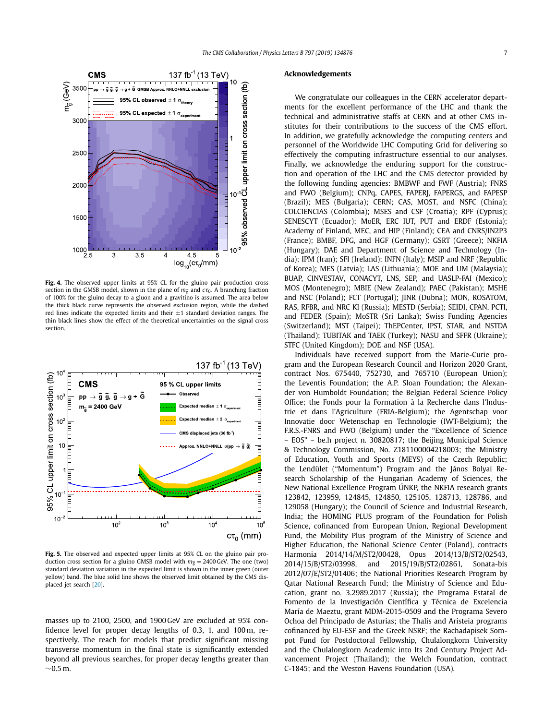<span id="page-6-0"></span>

**Fig. 4.** The observed upper limits at 95% CL for the gluino pair production cross **Fig. 4.** The observed upper limits at 95% CL for the gluino pair production cross<br>section in the GMSB model, shown in the plane of *m*<sub>g</sub> and *cτ*<sub>0</sub>. A branching fraction of 100% for the gluino decay to a gluon and a gravitino is assumed. The area below the thick black curve represents the observed exclusion region, while the dashed red lines indicate the expected limits and their  $\pm 1$  standard deviation ranges. The thin black lines show the effect of the theoretical uncertainties on the signal cross section.



**Fig. 5.** The observed and expected upper limits at 95% CL on the gluino pair pro-**Fig. 5.** The observed and expected upper limits at 95% duction cross section for a gluino GMSB model with  $m_{\tilde{e}}$ duction cross section for a gluino GMSB model with  $m_{\tilde{g}} = 2400$  GeV. The one (two) standard deviation variation in the expected limit is shown in the inner green (outer yellow) band. The blue solid line shows the observed limit obtained by the CMS displaced jet search [\[20\]](#page-7-0).

masses up to 2100, 2500, and 1900 GeV are excluded at 95% confidence level for proper decay lengths of 0.3, 1, and 100m, respectively. The reach for models that predict significant missing transverse momentum in the final state is significantly extended beyond all previous searches, for proper decay lengths greater than ∼0.5 m.

#### **Acknowledgements**

We congratulate our colleagues in the CERN accelerator departments for the excellent performance of the LHC and thank the technical and administrative staffs at CERN and at other CMS institutes for their contributions to the success of the CMS effort. In addition, we gratefully acknowledge the computing centers and personnel of the Worldwide LHC Computing Grid for delivering so effectively the computing infrastructure essential to our analyses. Finally, we acknowledge the enduring support for the construction and operation of the LHC and the CMS detector provided by the following funding agencies: BMBWF and FWF (Austria); FNRS and FWO (Belgium); CNPq, CAPES, FAPERJ, FAPERGS, and FAPESP (Brazil); MES (Bulgaria); CERN; CAS, MOST, and NSFC (China); COLCIENCIAS (Colombia); MSES and CSF (Croatia); RPF (Cyprus); SENESCYT (Ecuador); MoER, ERC IUT, PUT and ERDF (Estonia); Academy of Finland, MEC, and HIP (Finland); CEA and CNRS/IN2P3 (France); BMBF, DFG, and HGF (Germany); GSRT (Greece); NKFIA (Hungary); DAE and Department of Science and Technology (India); IPM (Iran); SFI (Ireland); INFN (Italy); MSIP and NRF (Republic of Korea); MES (Latvia); LAS (Lithuania); MOE and UM (Malaysia); BUAP, CINVESTAV, CONACYT, LNS, SEP, and UASLP-FAI (Mexico); MOS (Montenegro); MBIE (New Zealand); PAEC (Pakistan); MSHE and NSC (Poland); FCT (Portugal); JINR (Dubna); MON, ROSATOM, RAS, RFBR, and NRC KI (Russia); MESTD (Serbia); SEIDI, CPAN, PCTI, and FEDER (Spain); MoSTR (Sri Lanka); Swiss Funding Agencies (Switzerland); MST (Taipei); ThEPCenter, IPST, STAR, and NSTDA (Thailand); TUBITAK and TAEK (Turkey); NASU and SFFR (Ukraine); STFC (United Kingdom); DOE and NSF (USA).

Individuals have received support from the Marie-Curie program and the European Research Council and Horizon 2020 Grant, contract Nos. 675440, 752730, and 765710 (European Union); the Leventis Foundation; the A.P. Sloan Foundation; the Alexander von Humboldt Foundation; the Belgian Federal Science Policy Office; the Fonds pour la Formation à la Recherche dans l'Industrie et dans l'Agriculture (FRIA-Belgium); the Agentschap voor Innovatie door Wetenschap en Technologie (IWT-Belgium); the F.R.S.-FNRS and FWO (Belgium) under the "Excellence of Science – EOS" – be.h project n. 30820817; the Beijing Municipal Science & Technology Commission, No. Z181100004218003; the Ministry of Education, Youth and Sports (MEYS) of the Czech Republic; the Lendület ("Momentum") Program and the János Bolyai Research Scholarship of the Hungarian Academy of Sciences, the New National Excellence Program ÚNKP, the NKFIA research grants 123842, 123959, 124845, 124850, 125105, 128713, 128786, and 129058 (Hungary); the Council of Science and Industrial Research, India; the HOMING PLUS program of the Foundation for Polish Science, cofinanced from European Union, Regional Development Fund, the Mobility Plus program of the Ministry of Science and Higher Education, the National Science Center (Poland), contracts Harmonia 2014/14/M/ST2/00428, Opus 2014/13/B/ST2/02543, 2014/15/B/ST2/03998, and 2015/19/B/ST2/02861, Sonata-bis 2012/07/E/ST2/01406; the National Priorities Research Program by Qatar National Research Fund; the Ministry of Science and Education, grant no. 3.2989.2017 (Russia); the Programa Estatal de Fomento de la Investigación Científica y Técnica de Excelencia María de Maeztu, grant MDM-2015-0509 and the Programa Severo Ochoa del Principado de Asturias; the Thalis and Aristeia programs cofinanced by EU-ESF and the Greek NSRF; the Rachadapisek Sompot Fund for Postdoctoral Fellowship, Chulalongkorn University and the Chulalongkorn Academic into Its 2nd Century Project Advancement Project (Thailand); the Welch Foundation, contract C-1845; and the Weston Havens Foundation (USA).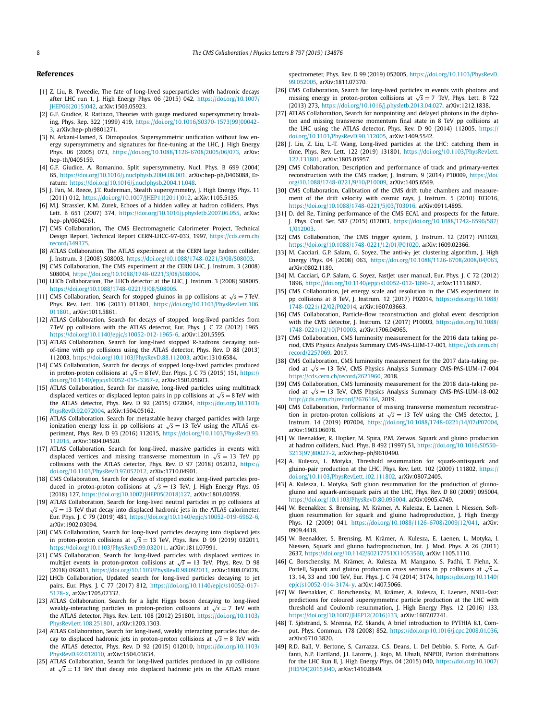#### <span id="page-7-0"></span>**References**

- [1] Z. Liu, B. Tweedie, The fate of long-lived superparticles with hadronic decays after LHC run 1, J. High Energy Phys. 06 (2015) 042, [https://doi.org/10.1007/](https://doi.org/10.1007/JHEP06(2015)042) [JHEP06\(2015\)042](https://doi.org/10.1007/JHEP06(2015)042), arXiv:1503.05923.
- [2] G.F. Giudice, R. Rattazzi, Theories with gauge mediated supersymmetry breaking, Phys. Rep. 322 (1999) 419, [https://doi.org/10.1016/S0370-1573\(99\)00042-](https://doi.org/10.1016/S0370-1573(99)00042-3) [3,](https://doi.org/10.1016/S0370-1573(99)00042-3) arXiv:hep-ph/9801271.
- [3] N. Arkani-Hamed, S. Dimopoulos, Supersymmetric unification without low energy supersymmetry and signatures for fine-tuning at the LHC, J. High Energy Phys. 06 (2005) 073, [https://doi.org/10.1088/1126-6708/2005/06/073,](https://doi.org/10.1088/1126-6708/2005/06/073) arXiv: hep-th/0405159.
- [4] G.F. Giudice, A. Romanino, Split supersymmetry, Nucl. Phys. B 699 (2004) 65, <https://doi.org/10.1016/j.nuclphysb.2004.08.001>, arXiv:hep-ph/0406088, Erratum: [https://doi.org/10.1016/j.nuclphysb.2004.11.048.](https://doi.org/10.1016/j.nuclphysb.2004.11.048)
- [5] J. Fan, M. Reece, J.T. Ruderman, Stealth supersymmetry, J. High Energy Phys. 11 (2011) 012, [https://doi.org/10.1007/JHEP11\(2011\)012](https://doi.org/10.1007/JHEP11(2011)012), arXiv:1105.5135.
- [6] M.J. Strassler, K.M. Zurek, Echoes of a hidden valley at hadron colliders, Phys. Lett. B 651 (2007) 374, <https://doi.org/10.1016/j.physletb.2007.06.055>, arXiv: hep-ph/0604261.
- [7] CMS Collaboration, The CMS Electromagnetic Calorimeter Project, Technical Design Report, Technical Report CERN-LHCC-97-033, 1997, [https://cds.cern.ch/](https://cds.cern.ch/record/349375) [record/349375.](https://cds.cern.ch/record/349375)
- [8] ATLAS Collaboration, The ATLAS experiment at the CERN large hadron collider, J. Instrum. 3 (2008) S08003, <https://doi.org/10.1088/1748-0221/3/08/S08003>.
- [9] CMS Collaboration, The CMS experiment at the CERN LHC, J. Instrum. 3 (2008) S08004, <https://doi.org/10.1088/1748-0221/3/08/S08004>.
- [10] LHCb Collaboration, The LHCb detector at the LHC, J. Instrum. 3 (2008) S08005, [https://doi.org/10.1088/1748-0221/3/08/S08005.](https://doi.org/10.1088/1748-0221/3/08/S08005)
- [11] CMS Collaboration, Search for stopped gluinos in pp collisions at  $\sqrt{s} = 7$  TeV, Phys. Rev. Lett. 106 (2011) 011801, [https://doi.org/10.1103/PhysRevLett.106.](https://doi.org/10.1103/PhysRevLett.106.011801) [011801,](https://doi.org/10.1103/PhysRevLett.106.011801) arXiv:1011.5861.
- [12] ATLAS Collaboration, Search for decays of stopped, long-lived particles from 7 TeV pp collisions with the ATLAS detector, Eur. Phys. J. C 72 (2012) 1965, <https://doi.org/10.1140/epjc/s10052-012-1965-6>, arXiv:1201.5595.
- [13] ATLAS Collaboration, Search for long-lived stopped R-hadrons decaying outof-time with pp collisions using the ATLAS detector, Phys. Rev. D 88 (2013) 112003, [https://doi.org/10.1103/PhysRevD.88.112003,](https://doi.org/10.1103/PhysRevD.88.112003) arXiv:1310.6584.
- [14] CMS Collaboration, Search for decays of stopped long-lived particles produced in proton-proton collisions at  $\sqrt{s}$  = 8 TeV, Eur. Phys. J. C 75 (2015) 151, [https://](https://doi.org/10.1140/epjc/s10052-015-3367-z) [doi.org/10.1140/epjc/s10052-015-3367-z,](https://doi.org/10.1140/epjc/s10052-015-3367-z) arXiv:1501.05603.
- [15] ATLAS Collaboration, Search for massive, long-lived particles using multitrack displaced vertices or displaced lepton pairs in pp collisions at <sup>√</sup>*<sup>s</sup>* <sup>=</sup> <sup>8</sup> TeV with the ATLAS detector, Phys. Rev. D 92 (2015) 072004, [https://doi.org/10.1103/](https://doi.org/10.1103/PhysRevD.92.072004) [PhysRevD.92.072004,](https://doi.org/10.1103/PhysRevD.92.072004) arXiv:1504.05162.
- [16] ATLAS Collaboration, Search for metastable heavy charged particles with large ionization energy loss in pp collisions at  $\sqrt{s} = 13$  TeV using the ATLAS experiment, Phys. Rev. D 93 (2016) 112015, [https://doi.org/10.1103/PhysRevD.93.](https://doi.org/10.1103/PhysRevD.93.112015) [112015,](https://doi.org/10.1103/PhysRevD.93.112015) arXiv:1604.04520.
- [17] ATLAS Collaboration, Search for long-lived, massive particles in events with displaced vertices and missing transverse momentum in  $\sqrt{s} = 13$  TeV pp collisions with the ATLAS detector, Phys. Rev. D 97 (2018) 052012, [https://](https://doi.org/10.1103/PhysRevD.97.052012) [doi.org/10.1103/PhysRevD.97.052012](https://doi.org/10.1103/PhysRevD.97.052012), arXiv:1710.04901.
- [18] CMS Collaboration, Search for decays of stopped exotic long-lived particles produced in proton-proton collisions at  $\sqrt{s}$  = 13 TeV, J. High Energy Phys. 05 (2018) 127, [https://doi.org/10.1007/JHEP05\(2018\)127,](https://doi.org/10.1007/JHEP05(2018)127) arXiv:1801.00359.
- [19] ATLAS Collaboration, Search for long-lived neutral particles in pp collisions at <sup>√</sup>*<sup>s</sup>* <sup>=</sup> 13 TeV that decay into displaced hadronic jets in the ATLAS calorimeter, Eur. Phys. J. C 79 (2019) 481, <https://doi.org/10.1140/epjc/s10052-019-6962-6>, arXiv:1902.03094.
- [20] CMS Collaboration, Search for long-lived particles decaying into displaced jets in proton-proton collisions at  $\sqrt{s}$  = 13 TeV, Phys. Rev. D 99 (2019) 032011, [https://doi.org/10.1103/PhysRevD.99.032011,](https://doi.org/10.1103/PhysRevD.99.032011) arXiv:1811.07991.
- [21] CMS Collaboration, Search for long-lived particles with displaced vertices in multijet events in proton-proton collisions at  $\sqrt{s} = 13$  TeV, Phys. Rev. D 98 (2018) 092011, <https://doi.org/10.1103/PhysRevD.98.092011>, arXiv:1808.03078.
- [22] LHCb Collaboration, Updated search for long-lived particles decaying to jet pairs, Eur. Phys. J. C 77 (2017) 812, [https://doi.org/10.1140/epjc/s10052-017-](https://doi.org/10.1140/epjc/s10052-017-5178-x) [5178-x,](https://doi.org/10.1140/epjc/s10052-017-5178-x) arXiv:1705.07332.
- [23] ATLAS Collaboration, Search for a light Higgs boson decaying to long-lived weakly-interacting particles in proton-proton collisions at  $\sqrt{s} = 7$  TeV with the ATLAS detector, Phys. Rev. Lett. 108 (2012) 251801, [https://doi.org/10.1103/](https://doi.org/10.1103/PhysRevLett.108.251801) [PhysRevLett.108.251801,](https://doi.org/10.1103/PhysRevLett.108.251801) arXiv:1203.1303.
- [24] ATLAS Collaboration, Search for long-lived, weakly interacting particles that decay to displaced hadronic jets in proton-proton collisions at  $\sqrt{s} = 8$  TeV with the ATLAS detector, Phys. Rev. D 92 (2015) 012010, [https://doi.org/10.1103/](https://doi.org/10.1103/PhysRevD.92.012010) [PhysRevD.92.012010,](https://doi.org/10.1103/PhysRevD.92.012010) arXiv:1504.03634.
- [25] ATLAS Collaboration, Search for long-lived particles produced in *pp* collisions at  $\sqrt{s}$  = 13 TeV that decay into displaced hadronic jets in the ATLAS muon

spectrometer, Phys. Rev. D 99 (2019) 052005, [https://doi.org/10.1103/PhysRevD.](https://doi.org/10.1103/PhysRevD.99.052005) [99.052005,](https://doi.org/10.1103/PhysRevD.99.052005) arXiv:1811.07370.

- [26] CMS Collaboration, Search for long-lived particles in events with photons and missing energy in proton-proton collisions at <sup>√</sup>*<sup>s</sup>* <sup>=</sup> 7 TeV, Phys. Lett. <sup>B</sup> <sup>722</sup> (2013) 273, [https://doi.org/10.1016/j.physletb.2013.04.027,](https://doi.org/10.1016/j.physletb.2013.04.027) arXiv:1212.1838.
- [27] ATLAS Collaboration, Search for nonpointing and delayed photons in the diphoton and missing transverse momentum final state in 8 TeV pp collisions at the LHC using the ATLAS detector, Phys. Rev. D 90 (2014) 112005, [https://](https://doi.org/10.1103/PhysRevD.90.112005) [doi.org/10.1103/PhysRevD.90.112005,](https://doi.org/10.1103/PhysRevD.90.112005) arXiv:1409.5542.
- [28] J. Liu, Z. Liu, L.-T. Wang, Long-lived particles at the LHC: catching them in time, Phys. Rev. Lett. 122 (2019) 131801, [https://doi.org/10.1103/PhysRevLett.](https://doi.org/10.1103/PhysRevLett.122.131801) [122.131801](https://doi.org/10.1103/PhysRevLett.122.131801), arXiv:1805.05957.
- [29] CMS Collaboration, Description and performance of track and primary-vertex reconstruction with the CMS tracker, J. Instrum. 9 (2014) P10009, [https://doi.](https://doi.org/10.1088/1748-0221/9/10/P10009) [org/10.1088/1748-0221/9/10/P10009](https://doi.org/10.1088/1748-0221/9/10/P10009), arXiv:1405.6569.
- [30] CMS Collaboration, Calibration of the CMS drift tube chambers and measurement of the drift velocity with cosmic rays. I. Instrum. 5 (2010) T03016, <https://doi.org/10.1088/1748-0221/5/03/T03016>, arXiv:0911.4895.
- [31] D. del Re, Timing performance of the CMS ECAL and prospects for the future, J. Phys. Conf. Ser. 587 (2015) 012003, [https://doi.org/10.1088/1742-6596/587/](https://doi.org/10.1088/1742-6596/587/1/012003) [1/012003.](https://doi.org/10.1088/1742-6596/587/1/012003)
- [32] CMS Collaboration, The CMS trigger system, J. Instrum. 12 (2017) P01020, [https://doi.org/10.1088/1748-0221/12/01/P01020,](https://doi.org/10.1088/1748-0221/12/01/P01020) arXiv:1609.02366.
- [33] M. Cacciari, G.P. Salam, G. Soyez, The anti- $k<sub>T</sub>$  jet clustering algorithm, J. High Energy Phys. 04 (2008) 063, <https://doi.org/10.1088/1126-6708/2008/04/063>, arXiv:0802.1189.
- [34] M. Cacciari, G.P. Salam, G. Sovez, Fastlet user manual, Eur. Phys. J. C 72 (2012) 1896, [https://doi.org/10.1140/epjc/s10052-012-1896-2,](https://doi.org/10.1140/epjc/s10052-012-1896-2) arXiv:1111.6097.
- [35] CMS Collaboration, Jet energy scale and resolution in the CMS experiment in pp collisions at 8 TeV, J. Instrum. 12 (2017) P02014, [https://doi.org/10.1088/](https://doi.org/10.1088/1748-0221/12/02/P02014) [1748-0221/12/02/P02014](https://doi.org/10.1088/1748-0221/12/02/P02014), arXiv:1607.03663.
- [36] CMS Collaboration, Particle-flow reconstruction and global event description with the CMS detector, J. Instrum. 12 (2017) P10003, [https://doi.org/10.1088/](https://doi.org/10.1088/1748-0221/12/10/P10003) [1748-0221/12/10/P10003](https://doi.org/10.1088/1748-0221/12/10/P10003), arXiv:1706.04965.
- [37] CMS Collaboration, CMS luminosity measurement for the 2016 data taking period, CMS Physics Analysis Summary CMS-PAS-LUM-17-001, [https://cds.cern.ch/](https://cds.cern.ch/record/2257069) [record/2257069](https://cds.cern.ch/record/2257069), 2017.
- [38] CMS Collaboration, CMS luminosity measurement for the 2017 data-taking period at <sup>√</sup>*<sup>s</sup>* <sup>=</sup> 13 TeV, CMS Physics Analysis Summary CMS-PAS-LUM-17-004 [https://cds.cern.ch/record/2621960,](https://cds.cern.ch/record/2621960) 2018.
- [39] CMS Collaboration, CMS luminosity measurement for the 2018 data-taking period at <sup>√</sup>*<sup>s</sup>* <sup>=</sup> 13 TeV, CMS Physics Analysis Summary CMS-PAS-LUM-18-002 <http://cds.cern.ch/record/2676164>, 2019.
- [40] CMS Collaboration, Performance of missing transverse momentum reconstruction in proton-proton collisions at  $\sqrt{s} = 13$  TeV using the CMS detector, J. Instrum. 14 (2019) P07004, <https://doi.org/10.1088/1748-0221/14/07/P07004>, arXiv:1903.06078.
- [41] W. Beenakker, R. Hopker, M. Spira, P.M. Zerwas, Squark and gluino production at hadron colliders, Nucl. Phys. B 492 (1997) 51, [https://doi.org/10.1016/S0550-](https://doi.org/10.1016/S0550-3213(97)80027-2) [3213\(97\)80027-2,](https://doi.org/10.1016/S0550-3213(97)80027-2) arXiv:hep-ph/9610490.
- [42] A. Kulesza, L. Motyka, Threshold resummation for squark-antisquark and gluino-pair production at the LHC, Phys. Rev. Lett. 102 (2009) 111802, [https://](https://doi.org/10.1103/PhysRevLett.102.111802) [doi.org/10.1103/PhysRevLett.102.111802](https://doi.org/10.1103/PhysRevLett.102.111802), arXiv:0807.2405.
- [43] A. Kulesza, L. Motyka, Soft gluon resummation for the production of gluinogluino and squark-antisquark pairs at the LHC, Phys. Rev. D 80 (2009) 095004, [https://doi.org/10.1103/PhysRevD.80.095004,](https://doi.org/10.1103/PhysRevD.80.095004) arXiv:0905.4749.
- [44] W. Beenakker, S. Brensing, M. Krämer, A. Kulesza, E. Laenen, I. Niessen, Softgluon resummation for squark and gluino hadroproduction, J. High Energy Phys. 12 (2009) 041, <https://doi.org/10.1088/1126-6708/2009/12/041>, arXiv: 0909.4418.
- [45] W. Beenakker, S. Brensing, M. Krämer, A. Kulesza, E. Laenen, L. Motyka, I. Niessen, Squark and gluino hadroproduction, Int. J. Mod. Phys. A 26 (2011) 2637, [https://doi.org/10.1142/S0217751X11053560,](https://doi.org/10.1142/S0217751X11053560) arXiv:1105.1110.
- [46] C. Borschensky, M. Krämer, A. Kulesza, M. Mangano, S. Padhi, T. Plehn, X. Portell, Squark and gluino production cross sections in pp collisions at  $\sqrt{s}$  = 13*,* 14*,* 33 and 100 TeV, Eur. Phys. J. C 74 (2014) 3174, [https://doi.org/10.1140/](https://doi.org/10.1140/epjc/s10052-014-3174-y) [epjc/s10052-014-3174-y,](https://doi.org/10.1140/epjc/s10052-014-3174-y) arXiv:1407.5066.
- [47] W. Beenakker, C. Borschensky, M. Krämer, A. Kulesza, E. Laenen, NNLL-fast: predictions for coloured supersymmetric particle production at the LHC with threshold and Coulomb resummation, J. High Energy Phys. 12 (2016) 133, [https://doi.org/10.1007/JHEP12\(2016\)133,](https://doi.org/10.1007/JHEP12(2016)133) arXiv:1607.07741.
- [48] T. Sjöstrand, S. Mrenna, P.Z. Skands, A brief introduction to PYTHIA 8.1, Comput. Phys. Commun. 178 (2008) 852, <https://doi.org/10.1016/j.cpc.2008.01.036>, arXiv:0710.3820.
- [49] R.D. Ball, V. Bertone, S. Carrazza, C.S. Deans, L. Del Debbio, S. Forte, A. Guffanti, N.P. Hartland, J.I. Latorre, J. Rojo, M. Ubiali, NNPDF, Parton distributions for the LHC Run II, J. High Energy Phys. 04 (2015) 040, [https://doi.org/10.1007/](https://doi.org/10.1007/JHEP04(2015)040) [JHEP04\(2015\)040](https://doi.org/10.1007/JHEP04(2015)040), arXiv:1410.8849.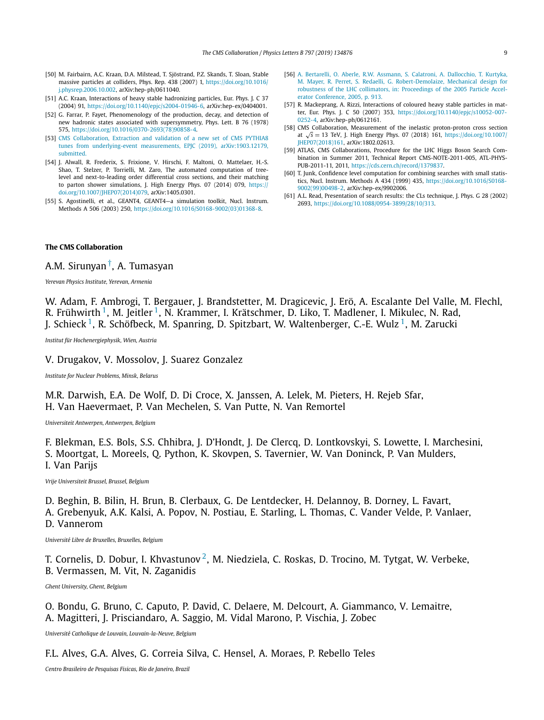- <span id="page-8-0"></span>[50] M. Fairbairn, A.C. Kraan, D.A. Milstead, T. Sjöstrand, P.Z. Skands, T. Sloan, Stable massive particles at colliders, Phys. Rep. 438 (2007) 1, [https://doi.org/10.1016/](https://doi.org/10.1016/j.physrep.2006.10.002) [j.physrep.2006.10.002,](https://doi.org/10.1016/j.physrep.2006.10.002) arXiv:hep-ph/0611040.
- [51] A.C. Kraan, Interactions of heavy stable hadronizing particles, Eur. Phys. J. C 37 (2004) 91, <https://doi.org/10.1140/epjc/s2004-01946-6>, arXiv:hep-ex/0404001.
- [52] G. Farrar, P. Fayet, Phenomenology of the production, decay, and detection of new hadronic states associated with supersymmetry, Phys. Lett. B 76 (1978) 575, [https://doi.org/10.1016/0370-2693\(78\)90858-4](https://doi.org/10.1016/0370-2693(78)90858-4).
- [53] CMS [Collaboration,](http://refhub.elsevier.com/S0370-2693(19)30590-8/bib435032s1) Extraction and validation of a new set of CMS PYTHIA8 tunes from underlying-event measurements, EPJC (2019), [arXiv:1903.12179,](http://refhub.elsevier.com/S0370-2693(19)30590-8/bib435032s1) [submitted.](http://refhub.elsevier.com/S0370-2693(19)30590-8/bib435032s1)
- [54] J. Alwall, R. Frederix, S. Frixione, V. Hirschi, F. Maltoni, O. Mattelaer, H.-S. Shao, T. Stelzer, P. Torrielli, M. Zaro, The automated computation of treelevel and next-to-leading order differential cross sections, and their matching to parton shower simulations, J. High Energy Phys. 07 (2014) 079, [https://](https://doi.org/10.1007/JHEP07(2014)079) [doi.org/10.1007/JHEP07\(2014\)079](https://doi.org/10.1007/JHEP07(2014)079), arXiv:1405.0301.
- [55] S. Agostinelli, et al., GEANT4, GEANT4-a simulation toolkit, Nucl. Instrum. Methods A 506 (2003) 250, [https://doi.org/10.1016/S0168-9002\(03\)01368-8.](https://doi.org/10.1016/S0168-9002(03)01368-8)
- [56] A. Bertarelli, O. Aberle, R.W. Assmann, S. Calatroni, A. [Dallocchio,](http://refhub.elsevier.com/S0370-2693(19)30590-8/bib31353930363038s1) T. Kurtyka, M. Mayer, R. Perret, S. Redaelli, G. [Robert-Demolaize,](http://refhub.elsevier.com/S0370-2693(19)30590-8/bib31353930363038s1) Mechanical design for robustness of the [LHC collimators,](http://refhub.elsevier.com/S0370-2693(19)30590-8/bib31353930363038s1) in: Proceedings of the 2005 Particle Accelerator [Conference,](http://refhub.elsevier.com/S0370-2693(19)30590-8/bib31353930363038s1) 2005, p. 913.
- [57] R. Mackeprang, A. Rizzi, Interactions of coloured heavy stable particles in matter, Eur. Phys. J. C 50 (2007) 353, [https://doi.org/10.1140/epjc/s10052-007-](https://doi.org/10.1140/epjc/s10052-007-0252-4) [0252-4,](https://doi.org/10.1140/epjc/s10052-007-0252-4) arXiv:hep-ph/0612161.
- [58] CMS Collaboration, Measurement of the inelastic proton-proton cross section at  $\sqrt{s}$  = 13 TeV, J. High Energy Phys. 07 (2018) 161, [https://doi.org/10.1007/](https://doi.org/10.1007/JHEP07(2018)161) [JHEP07\(2018\)161](https://doi.org/10.1007/JHEP07(2018)161), arXiv:1802.02613.
- [59] ATLAS, CMS Collaborations, Procedure for the LHC Higgs Boson Search Combination in Summer 2011, Technical Report CMS-NOTE-2011-005, ATL-PHYS-PUB-2011-11, 2011, <https://cds.cern.ch/record/1379837>.
- [60] T. Junk, Confidence level computation for combining searches with small statistics, Nucl. Instrum. Methods A 434 (1999) 435, [https://doi.org/10.1016/S0168-](https://doi.org/10.1016/S0168-9002(99)00498-2) [9002\(99\)00498-2](https://doi.org/10.1016/S0168-9002(99)00498-2), arXiv:hep-ex/9902006.
- [61] A.L. Read, Presentation of search results: the CLs technique, J. Phys. G 28 (2002) 2693, <https://doi.org/10.1088/0954-3899/28/10/313>.

#### **The CMS Collaboration**

# A.M. Sirunyan [†,](#page-23-0) A. Tumasyan

*Yerevan Physics Institute, Yerevan, Armenia*

W. Adam, F. Ambrogi, T. Bergauer, J. Brandstetter, M. Dragicevic, J. Erö, A. Escalante Del Valle, M. Flechl, R. Frühwirth <sup>1</sup>, M. Jeitler <sup>1</sup>, N. Krammer, I. Krätschmer, D. Liko, T. Madlener, I. Mikulec, N. Rad, J. Schieck  $1$ , R. Schöfbeck, M. Spanring, D. Spitzbart, W. Waltenberger, C.-E. Wulz  $1$ , M. Zarucki

*Institut für Hochenergiephysik, Wien, Austria*

V. Drugakov, V. Mossolov, J. Suarez Gonzalez

*Institute for Nuclear Problems, Minsk, Belarus*

M.R. Darwish, E.A. De Wolf, D. Di Croce, X. Janssen, A. Lelek, M. Pieters, H. Rejeb Sfar, H. Van Haevermaet, P. Van Mechelen, S. Van Putte, N. Van Remortel

*Universiteit Antwerpen, Antwerpen, Belgium*

F. Blekman, E.S. Bols, S.S. Chhibra, J. D'Hondt, J. De Clercq, D. Lontkovskyi, S. Lowette, I. Marchesini, S. Moortgat, L. Moreels, Q. Python, K. Skovpen, S. Tavernier, W. Van Doninck, P. Van Mulders, I. Van Parijs

*Vrije Universiteit Brussel, Brussel, Belgium*

D. Beghin, B. Bilin, H. Brun, B. Clerbaux, G. De Lentdecker, H. Delannoy, B. Dorney, L. Favart, A. Grebenyuk, A.K. Kalsi, A. Popov, N. Postiau, E. Starling, L. Thomas, C. Vander Velde, P. Vanlaer, D. Vannerom

*Université Libre de Bruxelles, Bruxelles, Belgium*

T. Cornelis, D. Dobur, I. Khvastunov<sup>2</sup>, M. Niedziela, C. Roskas, D. Trocino, M. Tytgat, W. Verbeke, B. Vermassen, M. Vit, N. Zaganidis

*Ghent University, Ghent, Belgium*

O. Bondu, G. Bruno, C. Caputo, P. David, C. Delaere, M. Delcourt, A. Giammanco, V. Lemaitre, A. Magitteri, J. Prisciandaro, A. Saggio, M. Vidal Marono, P. Vischia, J. Zobec

*Université Catholique de Louvain, Louvain-la-Neuve, Belgium*

F.L. Alves, G.A. Alves, G. Correia Silva, C. Hensel, A. Moraes, P. Rebello Teles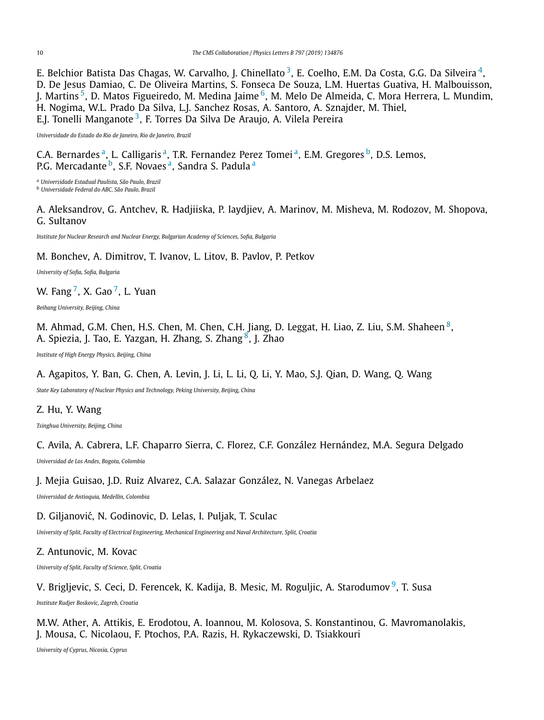E. Belchior Batista Das Chagas, W. Carvalho, J. Chinellato<sup>3</sup>, E. Coelho, E.M. Da Costa, G.G. Da Silveira<sup>[4](#page-23-0)</sup>, D. De Jesus Damiao, C. De Oliveira Martins, S. Fonseca De Souza, L.M. Huertas Guativa, H. Malbouisson, J. Martins<sup>5</sup>, D. Matos Figueiredo, M. Medina Jaime<sup>6</sup>, M. Melo De Almeida, C. Mora Herrera, L. Mundim, H. Nogima, W.L. Prado Da Silva, L.J. Sanchez Rosas, A. Santoro, A. Sznajder, M. Thiel, E.J. Tonelli Manganote<sup>3</sup>, F. Torres Da Silva De Araujo, A. Vilela Pereira

*Universidade do Estado do Rio de Janeiro, Rio de Janeiro, Brazil*

C.A. Bernardes  $a$ , L. Calligaris  $a$ , T.R. Fernandez Perez Tomei  $a$ , E.M. Gregores  $b$ , D.S. Lemos, P.G. Mercadante <sup>b</sup>, S.F. Novaes <sup>a</sup>, Sandra S. Padula a

<sup>a</sup> *Universidade Estadual Paulista, São Paulo, Brazil*

<sup>b</sup> *Universidade Federal do ABC, São Paulo, Brazil*

## A. Aleksandrov, G. Antchev, R. Hadjiiska, P. Iaydjiev, A. Marinov, M. Misheva, M. Rodozov, M. Shopova, G. Sultanov

*Institute for Nuclear Research and Nuclear Energy, Bulgarian Academy of Sciences, Sofia, Bulgaria*

#### M. Bonchev, A. Dimitrov, T. Ivanov, L. Litov, B. Pavlov, P. Petkov

*University of Sofia, Sofia, Bulgaria*

W. Fang  $^7$ , X. Gao  $^7$ , L. Yuan

*Beihang University, Beijing, China*

M. Ahmad, G.M. Chen, H.S. Chen, M. Chen, C.H. Jiang, D. Leggat, H. Liao, Z. Liu, S.M. Shaheen<sup>8</sup>, A. Spiezia, J. Tao, E. Yazgan, H. Zhang, S. Zhang<sup>8</sup>, J. Zhao

*Institute of High Energy Physics, Beijing, China*

### A. Agapitos, Y. Ban, G. Chen, A. Levin, J. Li, L. Li, Q. Li, Y. Mao, S.J. Qian, D. Wang, Q. Wang

*State Key Laboratory of Nuclear Physics and Technology, Peking University, Beijing, China*

## Z. Hu, Y. Wang

*Tsinghua University, Beijing, China*

## C. Avila, A. Cabrera, L.F. Chaparro Sierra, C. Florez, C.F. González Hernández, M.A. Segura Delgado

*Universidad de Los Andes, Bogota, Colombia*

### J. Mejia Guisao, J.D. Ruiz Alvarez, C.A. Salazar González, N. Vanegas Arbelaez

*Universidad de Antioquia, Medellin, Colombia*

D. Giljanović, N. Godinovic, D. Lelas, I. Puljak, T. Sculac

*University of Split, Faculty of Electrical Engineering, Mechanical Engineering and Naval Architecture, Split, Croatia*

### Z. Antunovic, M. Kovac

*University of Split, Faculty of Science, Split, Croatia*

V. Brigljevic, S. Ceci, D. Ferencek, K. Kadija, B. Mesic, M. Roguljic, A. Starodumov<sup>9</sup>. T. Susa

*Institute Rudjer Boskovic, Zagreb, Croatia*

M.W. Ather, A. Attikis, E. Erodotou, A. Ioannou, M. Kolosova, S. Konstantinou, G. Mavromanolakis, J. Mousa, C. Nicolaou, F. Ptochos, P.A. Razis, H. Rykaczewski, D. Tsiakkouri

*University of Cyprus, Nicosia, Cyprus*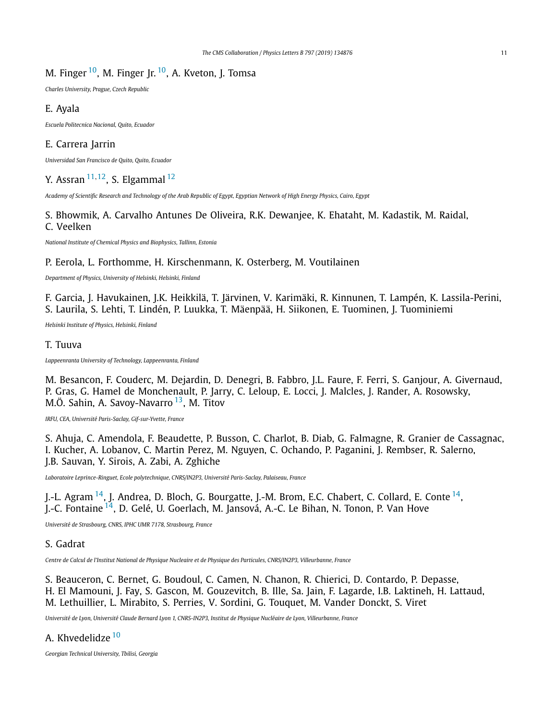# M. Finger  $10$ , M. Finger Jr.  $10$ , A. Kveton, J. Tomsa

*Charles University, Prague, Czech Republic*

### E. Ayala

*Escuela Politecnica Nacional, Quito, Ecuador*

## E. Carrera Jarrin

*Universidad San Francisco de Quito, Quito, Ecuador*

# Y. Assran [11](#page-23-0)*,*[12](#page-23-0), S. Elgammal [12](#page-23-0)

Academy of Scientific Research and Technology of the Arab Republic of Egypt, Egyptian Network of High Energy Physics, Cairo, Egypt

# S. Bhowmik, A. Carvalho Antunes De Oliveira, R.K. Dewanjee, K. Ehataht, M. Kadastik, M. Raidal, C. Veelken

*National Institute of Chemical Physics and Biophysics, Tallinn, Estonia*

### P. Eerola, L. Forthomme, H. Kirschenmann, K. Osterberg, M. Voutilainen

*Department of Physics, University of Helsinki, Helsinki, Finland*

F. Garcia, J. Havukainen, J.K. Heikkilä, T. Järvinen, V. Karimäki, R. Kinnunen, T. Lampén, K. Lassila-Perini, S. Laurila, S. Lehti, T. Lindén, P. Luukka, T. Mäenpää, H. Siikonen, E. Tuominen, J. Tuominiemi

*Helsinki Institute of Physics, Helsinki, Finland*

### T. Tuuva

*Lappeenranta University of Technology, Lappeenranta, Finland*

M. Besancon, F. Couderc, M. Dejardin, D. Denegri, B. Fabbro, J.L. Faure, F. Ferri, S. Ganjour, A. Givernaud, P. Gras, G. Hamel de Monchenault, P. Jarry, C. Leloup, E. Locci, J. Malcles, J. Rander, A. Rosowsky, M.Ö. Sahin, A. Savoy-Navarro<sup>13</sup>, M. Titov

*IRFU, CEA, Université Paris-Saclay, Gif-sur-Yvette, France*

S. Ahuja, C. Amendola, F. Beaudette, P. Busson, C. Charlot, B. Diab, G. Falmagne, R. Granier de Cassagnac, I. Kucher, A. Lobanov, C. Martin Perez, M. Nguyen, C. Ochando, P. Paganini, J. Rembser, R. Salerno, J.B. Sauvan, Y. Sirois, A. Zabi, A. Zghiche

*Laboratoire Leprince-Ringuet, Ecole polytechnique, CNRS/IN2P3, Université Paris-Saclay, Palaiseau, France*

J.-L. Agram  $^{14}$ , J. Andrea, D. Bloch, G. Bourgatte, J.-M. Brom, E.C. Chabert, C. Collard, E. Conte  $^{14}$ , J.-C. Fontaine <sup>14</sup>, D. Gelé, U. Goerlach, M. Jansová, A.-C. Le Bihan, N. Tonon, P. Van Hove

*Université de Strasbourg, CNRS, IPHC UMR 7178, Strasbourg, France*

### S. Gadrat

Centre de Calcul de l'Institut National de Physique Nucleaire et de Physique des Particules, CNRS/IN2P3, Villeurbanne, France

S. Beauceron, C. Bernet, G. Boudoul, C. Camen, N. Chanon, R. Chierici, D. Contardo, P. Depasse, H. El Mamouni, J. Fay, S. Gascon, M. Gouzevitch, B. Ille, Sa. Jain, F. Lagarde, I.B. Laktineh, H. Lattaud, M. Lethuillier, L. Mirabito, S. Perries, V. Sordini, G. Touquet, M. Vander Donckt, S. Viret

Université de Lyon, Université Claude Bernard Lyon 1, CNRS-IN2P3, Institut de Physique Nucléaire de Lyon, Villeurbanne, France

## A. Khvedelidze<sup>[10](#page-23-0)</sup>

*Georgian Technical University, Tbilisi, Georgia*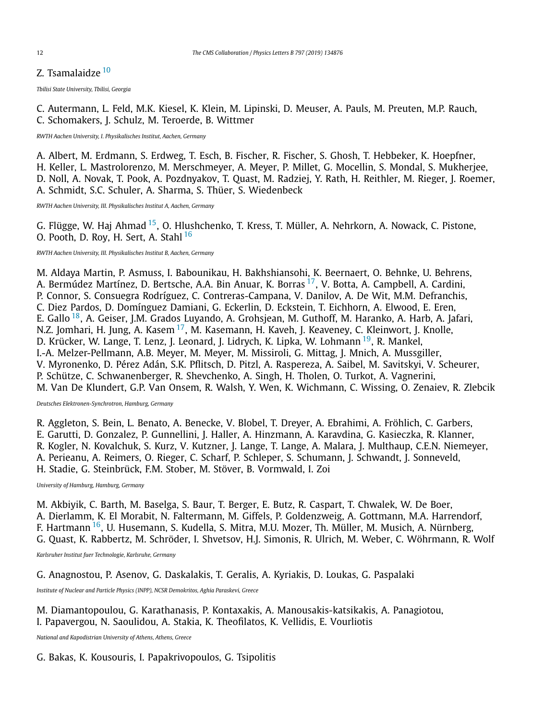### Z. Tsamalaidze<sup>[10](#page-23-0)</sup>

*Tbilisi State University, Tbilisi, Georgia*

C. Autermann, L. Feld, M.K. Kiesel, K. Klein, M. Lipinski, D. Meuser, A. Pauls, M. Preuten, M.P. Rauch, C. Schomakers, J. Schulz, M. Teroerde, B. Wittmer

*RWTH Aachen University, I. Physikalisches Institut, Aachen, Germany*

A. Albert, M. Erdmann, S. Erdweg, T. Esch, B. Fischer, R. Fischer, S. Ghosh, T. Hebbeker, K. Hoepfner, H. Keller, L. Mastrolorenzo, M. Merschmeyer, A. Meyer, P. Millet, G. Mocellin, S. Mondal, S. Mukherjee, D. Noll, A. Novak, T. Pook, A. Pozdnyakov, T. Quast, M. Radziej, Y. Rath, H. Reithler, M. Rieger, J. Roemer, A. Schmidt, S.C. Schuler, A. Sharma, S. Thüer, S. Wiedenbeck

*RWTH Aachen University, III. Physikalisches Institut A, Aachen, Germany*

G. Flügge, W. Haj Ahmad [15](#page-23-0), O. Hlushchenko, T. Kress, T. Müller, A. Nehrkorn, A. Nowack, C. Pistone, O. Pooth, D. Roy, H. Sert, A. Stahl [16](#page-23-0)

*RWTH Aachen University, III. Physikalisches Institut B, Aachen, Germany*

M. Aldaya Martin, P. Asmuss, I. Babounikau, H. Bakhshiansohi, K. Beernaert, O. Behnke, U. Behrens, A. Bermúdez Martínez, D. Bertsche, A.A. Bin Anuar, K. Borras [17,](#page-23-0) V. Botta, A. Campbell, A. Cardini, P. Connor, S. Consuegra Rodríguez, C. Contreras-Campana, V. Danilov, A. De Wit, M.M. Defranchis, C. Diez Pardos, D. Domínguez Damiani, G. Eckerlin, D. Eckstein, T. Eichhorn, A. Elwood, E. Eren, E. Gallo [18,](#page-23-0) A. Geiser, J.M. Grados Luyando, A. Grohsjean, M. Guthoff, M. Haranko, A. Harb, A. Jafari, N.Z. Jomhari, H. Jung, A. Kasem [17,](#page-23-0) M. Kasemann, H. Kaveh, J. Keaveney, C. Kleinwort, J. Knolle, D. Krücker, W. Lange, T. Lenz, J. Leonard, J. Lidrych, K. Lipka, W. Lohmann [19,](#page-23-0) R. Mankel, I.-A. Melzer-Pellmann, A.B. Meyer, M. Meyer, M. Missiroli, G. Mittag, J. Mnich, A. Mussgiller, V. Myronenko, D. Pérez Adán, S.K. Pflitsch, D. Pitzl, A. Raspereza, A. Saibel, M. Savitskyi, V. Scheurer, P. Schütze, C. Schwanenberger, R. Shevchenko, A. Singh, H. Tholen, O. Turkot, A. Vagnerini, M. Van De Klundert, G.P. Van Onsem, R. Walsh, Y. Wen, K. Wichmann, C. Wissing, O. Zenaiev, R. Zlebcik

*Deutsches Elektronen-Synchrotron, Hamburg, Germany*

R. Aggleton, S. Bein, L. Benato, A. Benecke, V. Blobel, T. Dreyer, A. Ebrahimi, A. Fröhlich, C. Garbers, E. Garutti, D. Gonzalez, P. Gunnellini, J. Haller, A. Hinzmann, A. Karavdina, G. Kasieczka, R. Klanner, R. Kogler, N. Kovalchuk, S. Kurz, V. Kutzner, J. Lange, T. Lange, A. Malara, J. Multhaup, C.E.N. Niemeyer, A. Perieanu, A. Reimers, O. Rieger, C. Scharf, P. Schleper, S. Schumann, J. Schwandt, J. Sonneveld, H. Stadie, G. Steinbrück, F.M. Stober, M. Stöver, B. Vormwald, I. Zoi

*University of Hamburg, Hamburg, Germany*

M. Akbiyik, C. Barth, M. Baselga, S. Baur, T. Berger, E. Butz, R. Caspart, T. Chwalek, W. De Boer, A. Dierlamm, K. El Morabit, N. Faltermann, M. Giffels, P. Goldenzweig, A. Gottmann, M.A. Harrendorf, F. Hartmann [16,](#page-23-0) U. Husemann, S. Kudella, S. Mitra, M.U. Mozer, Th. Müller, M. Musich, A. Nürnberg, G. Quast, K. Rabbertz, M. Schröder, I. Shvetsov, H.J. Simonis, R. Ulrich, M. Weber, C. Wöhrmann, R. Wolf

*Karlsruher Institut fuer Technologie, Karlsruhe, Germany*

G. Anagnostou, P. Asenov, G. Daskalakis, T. Geralis, A. Kyriakis, D. Loukas, G. Paspalaki

*Institute of Nuclear and Particle Physics (INPP), NCSR Demokritos, Aghia Paraskevi, Greece*

M. Diamantopoulou, G. Karathanasis, P. Kontaxakis, A. Manousakis-katsikakis, A. Panagiotou, I. Papavergou, N. Saoulidou, A. Stakia, K. Theofilatos, K. Vellidis, E. Vourliotis

*National and Kapodistrian University of Athens, Athens, Greece*

G. Bakas, K. Kousouris, I. Papakrivopoulos, G. Tsipolitis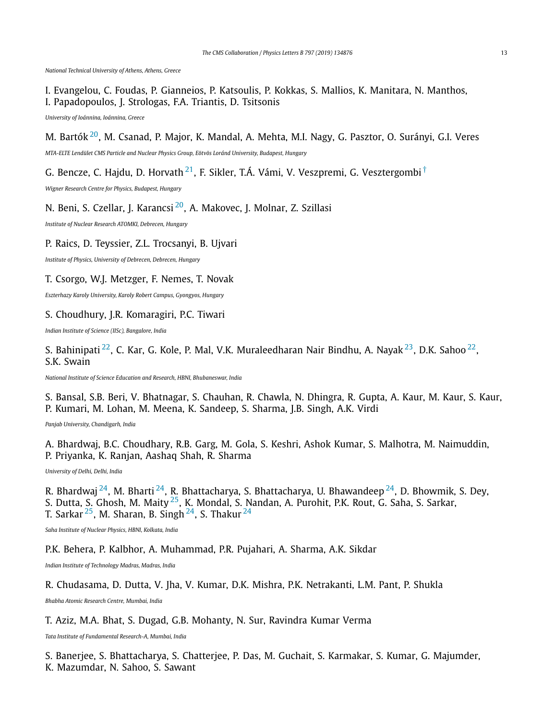*National Technical University of Athens, Athens, Greece*

I. Evangelou, C. Foudas, P. Gianneios, P. Katsoulis, P. Kokkas, S. Mallios, K. Manitara, N. Manthos, I. Papadopoulos, J. Strologas, F.A. Triantis, D. Tsitsonis

*University of Ioánnina, Ioánnina, Greece*

M. Bartók<sup>20</sup>, M. Csanad, P. Major, K. Mandal, A. Mehta, M.I. Nagy, G. Pasztor, O. Surányi, G.I. Veres

*MTA-ELTE Lendület CMS Particle and Nuclear Physics Group, Eötvös Loránd University, Budapest, Hungary*

G. Bencze, C. Hajdu, D. Horvath  $^{21}$ , F. Sikler, T.Á. Vámi, V. Veszpremi, G. Vesztergombi  $^{\dagger}$ 

*Wigner Research Centre for Physics, Budapest, Hungary*

# N. Beni, S. Czellar, J. Karancsi [20,](#page-23-0) A. Makovec, J. Molnar, Z. Szillasi

*Institute of Nuclear Research ATOMKI, Debrecen, Hungary*

#### P. Raics, D. Teyssier, Z.L. Trocsanyi, B. Ujvari

*Institute of Physics, University of Debrecen, Debrecen, Hungary*

### T. Csorgo, W.J. Metzger, F. Nemes, T. Novak

*Eszterhazy Karoly University, Karoly Robert Campus, Gyongyos, Hungary*

#### S. Choudhury, J.R. Komaragiri, P.C. Tiwari

*Indian Institute of Science (IISc), Bangalore, India*

S. Bahinipati [22](#page-23-0), C. Kar, G. Kole, P. Mal, V.K. Muraleedharan Nair Bindhu, A. Nayak [23](#page-23-0), D.K. Sahoo [22,](#page-23-0) S.K. Swain

*National Institute of Science Education and Research, HBNI, Bhubaneswar, India*

S. Bansal, S.B. Beri, V. Bhatnagar, S. Chauhan, R. Chawla, N. Dhingra, R. Gupta, A. Kaur, M. Kaur, S. Kaur, P. Kumari, M. Lohan, M. Meena, K. Sandeep, S. Sharma, J.B. Singh, A.K. Virdi

*Panjab University, Chandigarh, India*

A. Bhardwaj, B.C. Choudhary, R.B. Garg, M. Gola, S. Keshri, Ashok Kumar, S. Malhotra, M. Naimuddin, P. Priyanka, K. Ranjan, Aashaq Shah, R. Sharma

*University of Delhi, Delhi, India*

R. Bhardwaj  $^{24}$  $^{24}$  $^{24}$ , M. Bharti  $^{24}$ , R. Bhattacharya, S. Bhattacharya, U. Bhawandeep  $^{24}$ , D. Bhowmik, S. Dey, S. Dutta, S. Ghosh, M. Maity [25,](#page-23-0) K. Mondal, S. Nandan, A. Purohit, P.K. Rout, G. Saha, S. Sarkar, T. Sarkar  $^{25}$ , M. Sharan, B. Singh  $^{24}$  $^{24}$  $^{24}$ , S. Thakur  $^{24}$ 

*Saha Institute of Nuclear Physics, HBNI, Kolkata, India*

P.K. Behera, P. Kalbhor, A. Muhammad, P.R. Pujahari, A. Sharma, A.K. Sikdar

*Indian Institute of Technology Madras, Madras, India*

R. Chudasama, D. Dutta, V. Jha, V. Kumar, D.K. Mishra, P.K. Netrakanti, L.M. Pant, P. Shukla

*Bhabha Atomic Research Centre, Mumbai, India*

T. Aziz, M.A. Bhat, S. Dugad, G.B. Mohanty, N. Sur, Ravindra Kumar Verma

*Tata Institute of Fundamental Research-A, Mumbai, India*

S. Banerjee, S. Bhattacharya, S. Chatterjee, P. Das, M. Guchait, S. Karmakar, S. Kumar, G. Majumder, K. Mazumdar, N. Sahoo, S. Sawant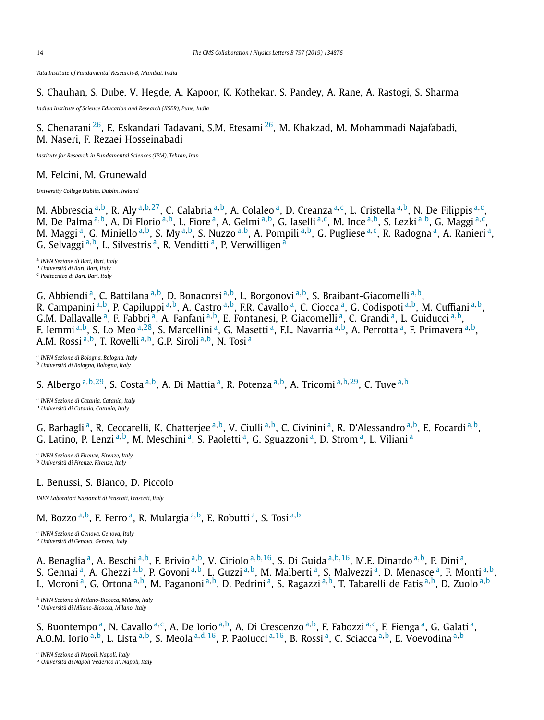*Tata Institute of Fundamental Research-B, Mumbai, India*

S. Chauhan, S. Dube, V. Hegde, A. Kapoor, K. Kothekar, S. Pandey, A. Rane, A. Rastogi, S. Sharma

*Indian Institute of Science Education and Research (IISER), Pune, India*

# S. Chenarani [26,](#page-23-0) E. Eskandari Tadavani, S.M. Etesami [26,](#page-23-0) M. Khakzad, M. Mohammadi Najafabadi, M. Naseri, F. Rezaei Hosseinabadi

*Institute for Research in Fundamental Sciences (IPM), Tehran, Iran*

### M. Felcini, M. Grunewald

*University College Dublin, Dublin, Ireland*

M. Abbrescia <sup>a</sup>*,*b, R. Aly <sup>a</sup>*,*b*,*[27,](#page-23-0) C. Calabria <sup>a</sup>*,*b, A. Colaleo a, D. Creanza <sup>a</sup>*,*c, L. Cristella <sup>a</sup>*,*b, N. De Filippis <sup>a</sup>*,*c, M. De Palma <sup>a</sup>*,*b, A. Di Florio <sup>a</sup>*,*b, L. Fiore a, A. Gelmi <sup>a</sup>*,*b, G. Iaselli <sup>a</sup>*,*c, M. Ince <sup>a</sup>*,*b, S. Lezki <sup>a</sup>*,*b, G. Maggi <sup>a</sup>*,*c, M. Maggi<sup>a</sup>, G. Miniello<sup>a,b</sup>, S. My<sup>a,b</sup>, S. Nuzzo<sup>a,b</sup>, A. Pompili<sup>a,b</sup>, G. Pugliese<sup>a,c</sup>, R. Radogna<sup>a</sup>, A. Ranieri<sup>a</sup>, G. Selvaggi <sup>a</sup>*,*b, L. Silvestris a, R. Venditti a, P. Verwilligen <sup>a</sup>

<sup>a</sup> *INFN Sezione di Bari, Bari, Italy*

- <sup>b</sup> *Università di Bari, Bari, Italy*
- <sup>c</sup> *Politecnico di Bari, Bari, Italy*

G. Abbiendi a, C. Battilana <sup>a</sup>*,*b, D. Bonacorsi <sup>a</sup>*,*b, L. Borgonovi <sup>a</sup>*,*b, S. Braibant-Giacomelli <sup>a</sup>*,*b, R. Campanini <sup>a</sup>*,*b, P. Capiluppi <sup>a</sup>*,*b, A. Castro <sup>a</sup>*,*b, F.R. Cavallo a, C. Ciocca a, G. Codispoti <sup>a</sup>*,*b, M. Cuffiani <sup>a</sup>*,*b, G.M. Dallavalle a, F. Fabbri a, A. Fanfani <sup>a</sup>*,*b, E. Fontanesi, P. Giacomelli a, C. Grandi a, L. Guiducci <sup>a</sup>*,*b, F. Iemmi <sup>a</sup>*,*b, S. Lo Meo <sup>a</sup>*,*[28](#page-23-0), S. Marcellini a, G. Masetti a, F.L. Navarria <sup>a</sup>*,*b, A. Perrotta a, F. Primavera <sup>a</sup>*,*b, A.M. Rossi <sup>a</sup>*,*b, T. Rovelli <sup>a</sup>*,*b, G.P. Siroli <sup>a</sup>*,*b, N. Tosi <sup>a</sup>

<sup>a</sup> *INFN Sezione di Bologna, Bologna, Italy* <sup>b</sup> *Università di Bologna, Bologna, Italy*

S. Albergo <sup>a</sup>*,*b*,*[29,](#page-23-0) S. Costa <sup>a</sup>*,*b, A. Di Mattia a, R. Potenza <sup>a</sup>*,*b, A. Tricomi <sup>a</sup>*,*b*,*[29,](#page-23-0) C. Tuve <sup>a</sup>*,*<sup>b</sup>

<sup>a</sup> *INFN Sezione di Catania, Catania, Italy* <sup>b</sup> *Università di Catania, Catania, Italy*

G. Barbagli a, R. Ceccarelli, K. Chatterjee <sup>a</sup>*,*b, V. Ciulli <sup>a</sup>*,*b, C. Civinini a, R. D'Alessandro <sup>a</sup>*,*b, E. Focardi <sup>a</sup>*,*b, G. Latino, P. Lenzi a, b, M. Meschini a, S. Paoletti a, G. Sguazzoni a, D. Strom a, L. Viliani a

<sup>a</sup> *INFN Sezione di Firenze, Firenze, Italy* <sup>b</sup> *Università di Firenze, Firenze, Italy*

### L. Benussi, S. Bianco, D. Piccolo

*INFN Laboratori Nazionali di Frascati, Frascati, Italy*

M. Bozzo <sup>a</sup>*,*b, F. Ferro a, R. Mulargia <sup>a</sup>*,*b, E. Robutti a, S. Tosi <sup>a</sup>*,*<sup>b</sup>

<sup>a</sup> *INFN Sezione di Genova, Genova, Italy* <sup>b</sup> *Università di Genova, Genova, Italy*

A. Benaglia a, A. Beschi <sup>a</sup>*,*b, F. Brivio <sup>a</sup>*,*b, V. Ciriolo <sup>a</sup>*,*b*,*[16,](#page-23-0) S. Di Guida <sup>a</sup>*,*b*,*[16,](#page-23-0) M.E. Dinardo <sup>a</sup>*,*b, P. Dini a, S. Gennai a, A. Ghezzi <sup>a</sup>*,*b, P. Govoni <sup>a</sup>*,*b, L. Guzzi <sup>a</sup>*,*b, M. Malberti a, S. Malvezzi a, D. Menasce a, F. Monti <sup>a</sup>*,*b, L. Moroni a, G. Ortona <sup>a</sup>*,*b, M. Paganoni <sup>a</sup>*,*b, D. Pedrini a, S. Ragazzi <sup>a</sup>*,*b, T. Tabarelli de Fatis <sup>a</sup>*,*b, D. Zuolo <sup>a</sup>*,*<sup>b</sup>

<sup>a</sup> *INFN Sezione di Milano-Bicocca, Milano, Italy*

<sup>b</sup> *Università di Milano-Bicocca, Milano, Italy*

S. Buontempo <sup>a</sup>, N. Cavallo <sup>a, c</sup>, A. De Iorio <sup>a, b</sup>, A. Di Crescenzo <sup>a, b</sup>, F. Fabozzi <sup>a, c</sup>, F. Fienga <sup>a</sup>, G. Galati <sup>a</sup>, A.O.M. Iorio <sup>a</sup>*,*b, L. Lista <sup>a</sup>*,*b, S. Meola <sup>a</sup>*,*[d](#page-14-0)*,*[16,](#page-23-0) P. Paolucci <sup>a</sup>*,*[16,](#page-23-0) B. Rossi a, C. Sciacca <sup>a</sup>*,*b, E. Voevodina <sup>a</sup>*,*<sup>b</sup>

<sup>a</sup> *INFN Sezione di Napoli, Napoli, Italy*

<sup>b</sup> *Università di Napoli 'Federico II', Napoli, Italy*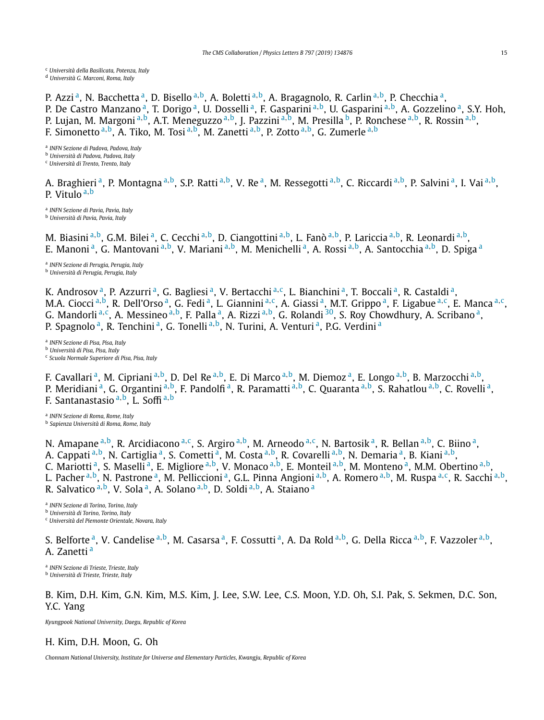<span id="page-14-0"></span><sup>c</sup> *Università della Basilicata, Potenza, Italy*

<sup>d</sup> *Università G. Marconi, Roma, Italy*

P. Azzi a, N. Bacchetta a, D. Bisello <sup>a</sup>*,*b, A. Boletti <sup>a</sup>*,*b, A. Bragagnolo, R. Carlin <sup>a</sup>*,*b, P. Checchia a, P. De Castro Manzano a, T. Dorigo a, U. Dosselli a, F. Gasparini <sup>a</sup>*,*b, U. Gasparini <sup>a</sup>*,*b, A. Gozzelino a, S.Y. Hoh, P. Lujan, M. Margoni <sup>a</sup>*,*b, A.T. Meneguzzo <sup>a</sup>*,*b, J. Pazzini <sup>a</sup>*,*b, M. Presilla b, P. Ronchese <sup>a</sup>*,*b, R. Rossin <sup>a</sup>*,*b, F. Simonetto <sup>a</sup>*,*b, A. Tiko, M. Tosi <sup>a</sup>*,*b, M. Zanetti <sup>a</sup>*,*b, P. Zotto <sup>a</sup>*,*b, G. Zumerle <sup>a</sup>*,*<sup>b</sup>

<sup>a</sup> *INFN Sezione di Padova, Padova, Italy*

<sup>b</sup> *Università di Padova, Padova, Italy*

<sup>c</sup> *Università di Trento, Trento, Italy*

A. Braghieri a, P. Montagna <sup>a</sup>*,*b, S.P. Ratti <sup>a</sup>*,*b, V. Re a, M. Ressegotti <sup>a</sup>*,*b, C. Riccardi <sup>a</sup>*,*b, P. Salvini a, I. Vai <sup>a</sup>*,*b, P. Vitulo <sup>a</sup>*,*<sup>b</sup>

<sup>a</sup> *INFN Sezione di Pavia, Pavia, Italy* <sup>b</sup> *Università di Pavia, Pavia, Italy*

M. Biasini <sup>a</sup>*,*b, G.M. Bilei a, C. Cecchi <sup>a</sup>*,*b, D. Ciangottini <sup>a</sup>*,*b, L. Fanò <sup>a</sup>*,*b, P. Lariccia <sup>a</sup>*,*b, R. Leonardi <sup>a</sup>*,*b, E. Manoni a, G. Mantovani <sup>a</sup>*,*b, V. Mariani <sup>a</sup>*,*b, M. Menichelli a, A. Rossi <sup>a</sup>*,*b, A. Santocchia <sup>a</sup>*,*b, D. Spiga <sup>a</sup>

<sup>a</sup> *INFN Sezione di Perugia, Perugia, Italy* <sup>b</sup> *Università di Perugia, Perugia, Italy*

K. Androsov<sup>a</sup>, P. Azzurri<sup>a</sup>, G. Bagliesi<sup>a</sup>, V. Bertacchi<sup>a, c</sup>, L. Bianchini<sup>a</sup>, T. Boccali<sup>a</sup>, R. Castaldi<sup>a</sup>, M.A. Ciocci a, b, R. Dell'Orso a, G. Fedi a, L. Giannini a,c, A. Giassi a, M.T. Grippo a, F. Ligabue a,c, E. Manca a,c, G. Mandorli a,c, A. Messineo a,b, F. Palla a, A. Rizzi a,b, G. Rolandi <sup>30</sup>, S. Roy Chowdhury, A. Scribano a, P. Spagnolo<sup>a</sup>, R. Tenchini<sup>a</sup>, G. Tonelli<sup>a, b</sup>, N. Turini, A. Venturi<sup>a</sup>, P.G. Verdini<sup>a</sup>

<sup>a</sup> *INFN Sezione di Pisa, Pisa, Italy*

<sup>b</sup> *Università di Pisa, Pisa, Italy*

<sup>c</sup> *Scuola Normale Superiore di Pisa, Pisa, Italy*

F. Cavallari a, M. Cipriani <sup>a</sup>*,*b, D. Del Re <sup>a</sup>*,*b, E. Di Marco <sup>a</sup>*,*b, M. Diemoz a, E. Longo <sup>a</sup>*,*b, B. Marzocchi <sup>a</sup>*,*b, P. Meridiani a, G. Organtini <sup>a</sup>*,*b, F. Pandolfi a, R. Paramatti <sup>a</sup>*,*b, C. Quaranta <sup>a</sup>*,*b, S. Rahatlou <sup>a</sup>*,*b, C. Rovelli a, F. Santanastasio <sup>a</sup>*,*b, L. Soffi <sup>a</sup>*,*<sup>b</sup>

<sup>a</sup> *INFN Sezione di Roma, Rome, Italy* <sup>b</sup> *Sapienza Università di Roma, Rome, Italy*

N. Amapane <sup>a</sup>*,*b, R. Arcidiacono <sup>a</sup>*,*c, S. Argiro <sup>a</sup>*,*b, M. Arneodo <sup>a</sup>*,*c, N. Bartosik a, R. Bellan <sup>a</sup>*,*b, C. Biino a, A. Cappati <sup>a</sup>*,*b, N. Cartiglia a, S. Cometti a, M. Costa <sup>a</sup>*,*b, R. Covarelli <sup>a</sup>*,*b, N. Demaria a, B. Kiani <sup>a</sup>*,*b, C. Mariotti<sup>a</sup>, S. Maselli<sup>a</sup>, E. Migliore<sup>a,b</sup>, V. Monaco<sup>a,b</sup>, E. Monteil<sup>a,b</sup>, M. Monteno<sup>a</sup>, M.M. Obertino<sup>a,b</sup>, L. Pacher <sup>a</sup>*,*b, N. Pastrone a, M. Pelliccioni a, G.L. Pinna Angioni <sup>a</sup>*,*b, A. Romero <sup>a</sup>*,*b, M. Ruspa <sup>a</sup>*,*c, R. Sacchi <sup>a</sup>*,*b, R. Salvatico <sup>a</sup>*,*b, V. Sola a, A. Solano <sup>a</sup>*,*b, D. Soldi <sup>a</sup>*,*b, A. Staiano <sup>a</sup>

<sup>a</sup> *INFN Sezione di Torino, Torino, Italy*

<sup>b</sup> *Università di Torino, Torino, Italy*

<sup>c</sup> *Università del Piemonte Orientale, Novara, Italy*

S. Belforte a, V. Candelise <sup>a</sup>*,*b, M. Casarsa a, F. Cossutti a, A. Da Rold <sup>a</sup>*,*b, G. Della Ricca <sup>a</sup>*,*b, F. Vazzoler <sup>a</sup>*,*b, A. Zanetti<sup>a</sup>

<sup>a</sup> *INFN Sezione di Trieste, Trieste, Italy* <sup>b</sup> *Università di Trieste, Trieste, Italy*

B. Kim, D.H. Kim, G.N. Kim, M.S. Kim, J. Lee, S.W. Lee, C.S. Moon, Y.D. Oh, S.I. Pak, S. Sekmen, D.C. Son, Y.C. Yang

*Kyungpook National University, Daegu, Republic of Korea*

### H. Kim, D.H. Moon, G. Oh

*Chonnam National University, Institute for Universe and Elementary Particles, Kwangju, Republic of Korea*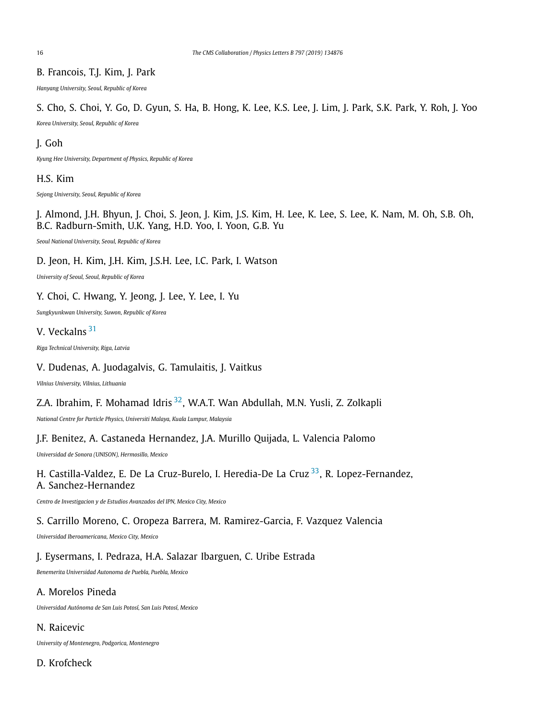### B. Francois, T.J. Kim, J. Park

*Hanyang University, Seoul, Republic of Korea*

S. Cho, S. Choi, Y. Go, D. Gyun, S. Ha, B. Hong, K. Lee, K.S. Lee, J. Lim, J. Park, S.K. Park, Y. Roh, J. Yoo *Korea University, Seoul, Republic of Korea*

#### J. Goh

*Kyung Hee University, Department of Physics, Republic of Korea*

#### H.S. Kim

*Sejong University, Seoul, Republic of Korea*

J. Almond, J.H. Bhyun, J. Choi, S. Jeon, J. Kim, J.S. Kim, H. Lee, K. Lee, S. Lee, K. Nam, M. Oh, S.B. Oh, B.C. Radburn-Smith, U.K. Yang, H.D. Yoo, I. Yoon, G.B. Yu

*Seoul National University, Seoul, Republic of Korea*

D. Jeon, H. Kim, J.H. Kim, J.S.H. Lee, I.C. Park, I. Watson

*University of Seoul, Seoul, Republic of Korea*

Y. Choi, C. Hwang, Y. Jeong, J. Lee, Y. Lee, I. Yu

*Sungkyunkwan University, Suwon, Republic of Korea*

### V. Veckalns<sup>[31](#page-23-0)</sup>

*Riga Technical University, Riga, Latvia*

#### V. Dudenas, A. Juodagalvis, G. Tamulaitis, J. Vaitkus

*Vilnius University, Vilnius, Lithuania*

# Z.A. Ibrahim, F. Mohamad Idris [32](#page-23-0), W.A.T. Wan Abdullah, M.N. Yusli, Z. Zolkapli

*National Centre for Particle Physics, Universiti Malaya, Kuala Lumpur, Malaysia*

#### J.F. Benitez, A. Castaneda Hernandez, J.A. Murillo Quijada, L. Valencia Palomo

*Universidad de Sonora (UNISON), Hermosillo, Mexico*

## H. Castilla-Valdez, E. De La Cruz-Burelo, I. Heredia-De La Cruz<sup>33</sup>, R. Lopez-Fernandez, A. Sanchez-Hernandez

*Centro de Investigacion y de Estudios Avanzados del IPN, Mexico City, Mexico*

#### S. Carrillo Moreno, C. Oropeza Barrera, M. Ramirez-Garcia, F. Vazquez Valencia

*Universidad Iberoamericana, Mexico City, Mexico*

#### J. Eysermans, I. Pedraza, H.A. Salazar Ibarguen, C. Uribe Estrada

*Benemerita Universidad Autonoma de Puebla, Puebla, Mexico*

#### A. Morelos Pineda

*Universidad Autónoma de San Luis Potosí, San Luis Potosí, Mexico*

### N. Raicevic

*University of Montenegro, Podgorica, Montenegro*

D. Krofcheck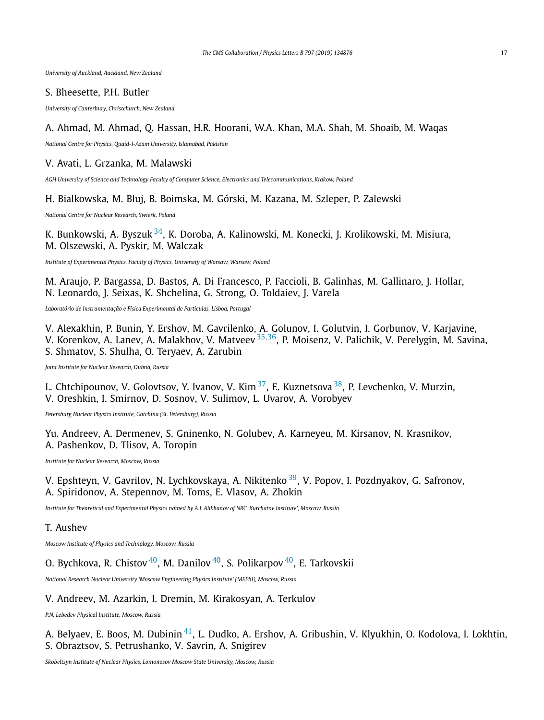*University of Auckland, Auckland, New Zealand*

#### S. Bheesette, P.H. Butler

*University of Canterbury, Christchurch, New Zealand*

### A. Ahmad, M. Ahmad, Q. Hassan, H.R. Hoorani, W.A. Khan, M.A. Shah, M. Shoaib, M. Waqas

*National Centre for Physics, Quaid-I-Azam University, Islamabad, Pakistan*

#### V. Avati, L. Grzanka, M. Malawski

AGH University of Science and Technology Faculty of Computer Science. Electronics and Telecommunications. Krakow. Poland

#### H. Bialkowska, M. Bluj, B. Boimska, M. Górski, M. Kazana, M. Szleper, P. Zalewski

*National Centre for Nuclear Research, Swierk, Poland*

K. Bunkowski, A. Byszuk<sup>34</sup>, K. Doroba, A. Kalinowski, M. Konecki, J. Krolikowski, M. Misiura, M. Olszewski, A. Pyskir, M. Walczak

*Institute of Experimental Physics, Faculty of Physics, University of Warsaw, Warsaw, Poland*

M. Araujo, P. Bargassa, D. Bastos, A. Di Francesco, P. Faccioli, B. Galinhas, M. Gallinaro, J. Hollar, N. Leonardo, J. Seixas, K. Shchelina, G. Strong, O. Toldaiev, J. Varela

*Laboratório de Instrumentação e Física Experimental de Partículas, Lisboa, Portugal*

V. Alexakhin, P. Bunin, Y. Ershov, M. Gavrilenko, A. Golunov, I. Golutvin, I. Gorbunov, V. Karjavine, V. Korenkov, A. Lanev, A. Malakhov, V. Matveev [35](#page-23-0)*,*[36,](#page-23-0) P. Moisenz, V. Palichik, V. Perelygin, M. Savina, S. Shmatov, S. Shulha, O. Teryaev, A. Zarubin

*Joint Institute for Nuclear Research, Dubna, Russia*

L. Chtchipounov, V. Golovtsov, Y. Ivanov, V. Kim<sup>37</sup>, E. Kuznetsova<sup>38</sup>, P. Levchenko, V. Murzin, V. Oreshkin, I. Smirnov, D. Sosnov, V. Sulimov, L. Uvarov, A. Vorobyev

*Petersburg Nuclear Physics Institute, Gatchina (St. Petersburg), Russia*

Yu. Andreev, A. Dermenev, S. Gninenko, N. Golubev, A. Karneyeu, M. Kirsanov, N. Krasnikov, A. Pashenkov, D. Tlisov, A. Toropin

*Institute for Nuclear Research, Moscow, Russia*

V. Epshteyn, V. Gavrilov, N. Lychkovskaya, A. Nikitenko <sup>39</sup>, V. Popov, I. Pozdnyakov, G. Safronov, A. Spiridonov, A. Stepennov, M. Toms, E. Vlasov, A. Zhokin

Institute for Theoretical and Experimental Physics named by A.I. Alikhanov of NRC 'Kurchatov Institute', Moscow, Russia

#### T. Aushev

*Moscow Institute of Physics and Technology, Moscow, Russia*

O. Bychkova, R. Chistov<sup>[40](#page-23-0)</sup>, M. Danilov<sup>40</sup>, S. Polikarpov<sup>40</sup>, E. Tarkovskii

*National Research Nuclear University 'Moscow Engineering Physics Institute' (MEPhI), Moscow, Russia*

V. Andreev, M. Azarkin, I. Dremin, M. Kirakosyan, A. Terkulov

*P.N. Lebedev Physical Institute, Moscow, Russia*

A. Belyaev, E. Boos, M. Dubinin [41,](#page-24-0) L. Dudko, A. Ershov, A. Gribushin, V. Klyukhin, O. Kodolova, I. Lokhtin, S. Obraztsov, S. Petrushanko, V. Savrin, A. Snigirev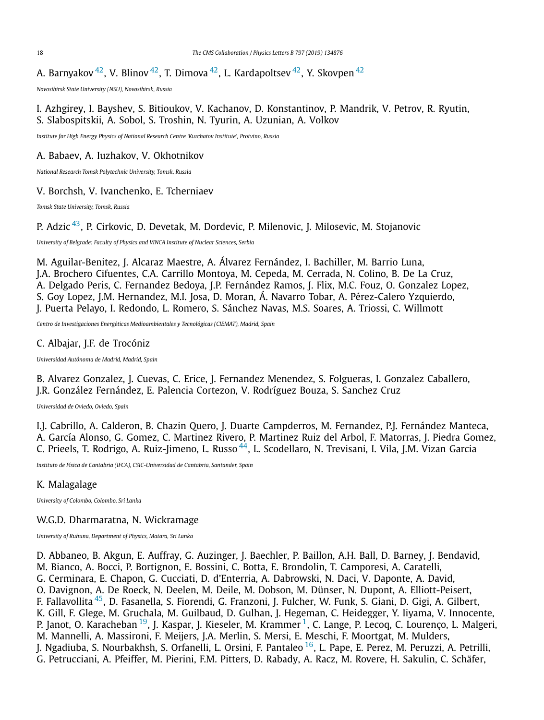# A. Barnyakov [42,](#page-24-0) V. Blinov [42,](#page-24-0) T. Dimova [42,](#page-24-0) L. Kardapoltsev [42,](#page-24-0) Y. Skovpen [42](#page-24-0)

*Novosibirsk State University (NSU), Novosibirsk, Russia*

### I. Azhgirey, I. Bayshev, S. Bitioukov, V. Kachanov, D. Konstantinov, P. Mandrik, V. Petrov, R. Ryutin, S. Slabospitskii, A. Sobol, S. Troshin, N. Tyurin, A. Uzunian, A. Volkov

*Institute for High Energy Physics of National Research Centre 'Kurchatov Institute', Protvino, Russia*

#### A. Babaev, A. Iuzhakov, V. Okhotnikov

*National Research Tomsk Polytechnic University, Tomsk, Russia*

#### V. Borchsh, V. Ivanchenko, E. Tcherniaev

*Tomsk State University, Tomsk, Russia*

# P. Adzic<sup>43</sup>, P. Cirkovic, D. Devetak, M. Dordevic, P. Milenovic, J. Milosevic, M. Stojanovic

*University of Belgrade: Faculty of Physics and VINCA Institute of Nuclear Sciences, Serbia*

M. Aguilar-Benitez, J. Alcaraz Maestre, A. Álvarez Fernández, I. Bachiller, M. Barrio Luna, J.A. Brochero Cifuentes, C.A. Carrillo Montoya, M. Cepeda, M. Cerrada, N. Colino, B. De La Cruz, A. Delgado Peris, C. Fernandez Bedoya, J.P. Fernández Ramos, J. Flix, M.C. Fouz, O. Gonzalez Lopez, S. Goy Lopez, J.M. Hernandez, M.I. Josa, D. Moran, Á. Navarro Tobar, A. Pérez-Calero Yzquierdo, J. Puerta Pelayo, I. Redondo, L. Romero, S. Sánchez Navas, M.S. Soares, A. Triossi, C. Willmott

*Centro de Investigaciones Energéticas Medioambientales y Tecnológicas (CIEMAT), Madrid, Spain*

#### C. Albajar, J.F. de Trocóniz

*Universidad Autónoma de Madrid, Madrid, Spain*

B. Alvarez Gonzalez, J. Cuevas, C. Erice, J. Fernandez Menendez, S. Folgueras, I. Gonzalez Caballero, J.R. González Fernández, E. Palencia Cortezon, V. Rodríguez Bouza, S. Sanchez Cruz

*Universidad de Oviedo, Oviedo, Spain*

I.J. Cabrillo, A. Calderon, B. Chazin Quero, J. Duarte Campderros, M. Fernandez, P.J. Fernández Manteca, A. García Alonso, G. Gomez, C. Martinez Rivero, P. Martinez Ruiz del Arbol, F. Matorras, J. Piedra Gomez, C. Prieels, T. Rodrigo, A. Ruiz-Jimeno, L. Russo <sup>44</sup>, L. Scodellaro, N. Trevisani, I. Vila, J.M. Vizan Garcia

*Instituto de Física de Cantabria (IFCA), CSIC-Universidad de Cantabria, Santander, Spain*

#### K. Malagalage

*University of Colombo, Colombo, Sri Lanka*

#### W.G.D. Dharmaratna, N. Wickramage

*University of Ruhuna, Department of Physics, Matara, Sri Lanka*

D. Abbaneo, B. Akgun, E. Auffray, G. Auzinger, J. Baechler, P. Baillon, A.H. Ball, D. Barney, J. Bendavid, M. Bianco, A. Bocci, P. Bortignon, E. Bossini, C. Botta, E. Brondolin, T. Camporesi, A. Caratelli, G. Cerminara, E. Chapon, G. Cucciati, D. d'Enterria, A. Dabrowski, N. Daci, V. Daponte, A. David, O. Davignon, A. De Roeck, N. Deelen, M. Deile, M. Dobson, M. Dünser, N. Dupont, A. Elliott-Peisert, F. Fallavollita [45,](#page-24-0) D. Fasanella, S. Fiorendi, G. Franzoni, J. Fulcher, W. Funk, S. Giani, D. Gigi, A. Gilbert, K. Gill, F. Glege, M. Gruchala, M. Guilbaud, D. Gulhan, J. Hegeman, C. Heidegger, Y. Iiyama, V. Innocente, P. Janot, O. Karacheban <sup>19</sup>, J. Kaspar, J. Kieseler, M. Krammer <sup>1</sup>, C. Lange, P. Lecoq, C. Lourenço, L. Malgeri, M. Mannelli, A. Massironi, F. Meijers, J.A. Merlin, S. Mersi, E. Meschi, F. Moortgat, M. Mulders, J. Ngadiuba, S. Nourbakhsh, S. Orfanelli, L. Orsini, F. Pantaleo [16,](#page-23-0) L. Pape, E. Perez, M. Peruzzi, A. Petrilli, G. Petrucciani, A. Pfeiffer, M. Pierini, F.M. Pitters, D. Rabady, A. Racz, M. Rovere, H. Sakulin, C. Schäfer,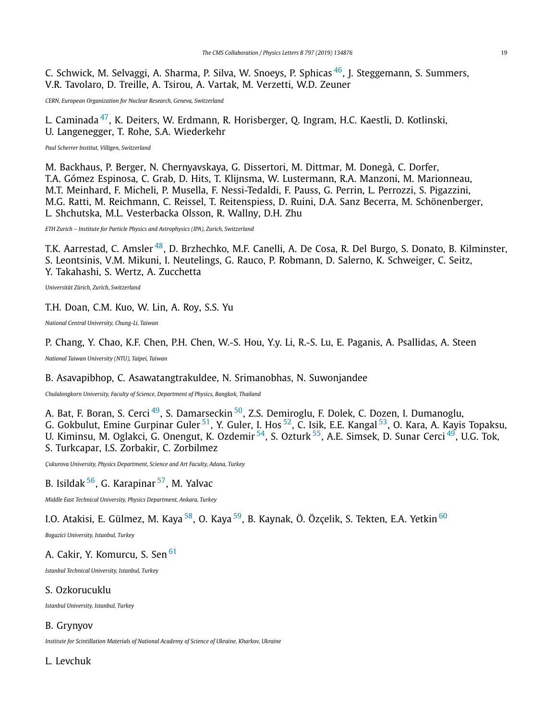C. Schwick, M. Selvaggi, A. Sharma, P. Silva, W. Snoeys, P. Sphicas <sup>46</sup>, J. Steggemann, S. Summers, V.R. Tavolaro, D. Treille, A. Tsirou, A. Vartak, M. Verzetti, W.D. Zeuner

*CERN, European Organization for Nuclear Research, Geneva, Switzerland*

L. Caminada<sup>47</sup>, K. Deiters, W. Erdmann, R. Horisberger, Q. Ingram, H.C. Kaestli, D. Kotlinski, U. Langenegger, T. Rohe, S.A. Wiederkehr

*Paul Scherrer Institut, Villigen, Switzerland*

M. Backhaus, P. Berger, N. Chernyavskaya, G. Dissertori, M. Dittmar, M. Donegà, C. Dorfer, T.A. Gómez Espinosa, C. Grab, D. Hits, T. Klijnsma, W. Lustermann, R.A. Manzoni, M. Marionneau, M.T. Meinhard, F. Micheli, P. Musella, F. Nessi-Tedaldi, F. Pauss, G. Perrin, L. Perrozzi, S. Pigazzini, M.G. Ratti, M. Reichmann, C. Reissel, T. Reitenspiess, D. Ruini, D.A. Sanz Becerra, M. Schönenberger, L. Shchutska, M.L. Vesterbacka Olsson, R. Wallny, D.H. Zhu

*ETH Zurich – Institute for Particle Physics and Astrophysics (IPA), Zurich, Switzerland*

T.K. Aarrestad, C. Amsler<sup>48</sup>, D. Brzhechko, M.F. Canelli, A. De Cosa, R. Del Burgo, S. Donato, B. Kilminster, S. Leontsinis, V.M. Mikuni, I. Neutelings, G. Rauco, P. Robmann, D. Salerno, K. Schweiger, C. Seitz, Y. Takahashi, S. Wertz, A. Zucchetta

*Universität Zürich, Zurich, Switzerland*

T.H. Doan, C.M. Kuo, W. Lin, A. Roy, S.S. Yu

*National Central University, Chung-Li, Taiwan*

P. Chang, Y. Chao, K.F. Chen, P.H. Chen, W.-S. Hou, Y.y. Li, R.-S. Lu, E. Paganis, A. Psallidas, A. Steen

*National Taiwan University (NTU), Taipei, Taiwan*

### B. Asavapibhop, C. Asawatangtrakuldee, N. Srimanobhas, N. Suwonjandee

*Chulalongkorn University, Faculty of Science, Department of Physics, Bangkok, Thailand*

A. Bat, F. Boran, S. Cerci<sup>49</sup>, S. Damarseckin <sup>50</sup>, Z.S. Demiroglu, F. Dolek, C. Dozen, I. Dumanoglu, G. Gokbulut, Emine Gurpinar Guler<sup>51</sup>, Y. Guler, I. Hos<sup>52</sup>, C. Isik, E.E. Kangal<sup>53</sup>, O. Kara, A. Kayis Topaksu, U. Kiminsu, M. Oglakci, G. Onengut, K. Ozdemir [54](#page-24-0), S. Ozturk [55,](#page-24-0) A.E. Simsek, D. Sunar Cerci [49,](#page-24-0) U.G. Tok, S. Turkcapar, I.S. Zorbakir, C. Zorbilmez

*Çukurova University, Physics Department, Science and Art Faculty, Adana, Turkey*

# B. Isildak <sup>56</sup>, G. Karapinar <sup>57</sup>, M. Yalvac

*Middle East Technical University, Physics Department, Ankara, Turkey*

I.O. Atakisi, E. Gülmez, M. Kaya<sup>58</sup>, O. Kaya<sup>59</sup>, B. Kaynak, Ö. Özçelik, S. Tekten, E.A. Yetkin <sup>[60](#page-24-0)</sup>

*Bogazici University, Istanbul, Turkey*

## A. Cakir, Y. Komurcu, S. Sen <sup>[61](#page-24-0)</sup>

*Istanbul Technical University, Istanbul, Turkey*

## S. Ozkorucuklu

*Istanbul University, Istanbul, Turkey*

## B. Grynyov

*Institute for Scintillation Materials of National Academy of Science of Ukraine, Kharkov, Ukraine*

# L. Levchuk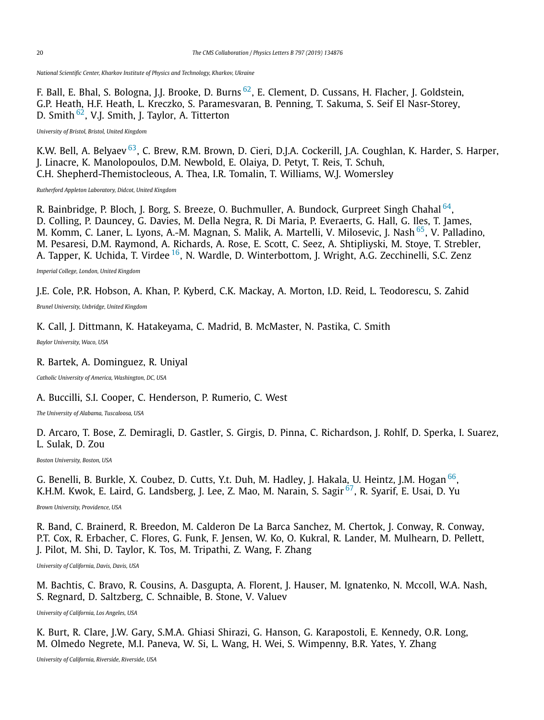*National Scientific Center, Kharkov Institute of Physics and Technology, Kharkov, Ukraine*

F. Ball, E. Bhal, S. Bologna, J.J. Brooke, D. Burns <sup>62</sup>, E. Clement, D. Cussans, H. Flacher, J. Goldstein, G.P. Heath, H.F. Heath, L. Kreczko, S. Paramesvaran, B. Penning, T. Sakuma, S. Seif El Nasr-Storey, D. Smith [62,](#page-24-0) V.J. Smith, J. Taylor, A. Titterton

*University of Bristol, Bristol, United Kingdom*

K.W. Bell, A. Belyaev <sup>63</sup>, C. Brew, R.M. Brown, D. Cieri, D.J.A. Cockerill, J.A. Coughlan, K. Harder, S. Harper, J. Linacre, K. Manolopoulos, D.M. Newbold, E. Olaiya, D. Petyt, T. Reis, T. Schuh, C.H. Shepherd-Themistocleous, A. Thea, I.R. Tomalin, T. Williams, W.J. Womersley

*Rutherford Appleton Laboratory, Didcot, United Kingdom*

R. Bainbridge, P. Bloch, J. Borg, S. Breeze, O. Buchmuller, A. Bundock, Gurpreet Singh Chahal <sup>64</sup>, D. Colling, P. Dauncey, G. Davies, M. Della Negra, R. Di Maria, P. Everaerts, G. Hall, G. Iles, T. James, M. Komm, C. Laner, L. Lyons, A.-M. Magnan, S. Malik, A. Martelli, V. Milosevic, J. Nash <sup>65</sup>, V. Palladino, M. Pesaresi, D.M. Raymond, A. Richards, A. Rose, E. Scott, C. Seez, A. Shtipliyski, M. Stoye, T. Strebler, A. Tapper, K. Uchida, T. Virdee [16,](#page-23-0) N. Wardle, D. Winterbottom, J. Wright, A.G. Zecchinelli, S.C. Zenz

*Imperial College, London, United Kingdom*

J.E. Cole, P.R. Hobson, A. Khan, P. Kyberd, C.K. Mackay, A. Morton, I.D. Reid, L. Teodorescu, S. Zahid

*Brunel University, Uxbridge, United Kingdom*

K. Call, J. Dittmann, K. Hatakeyama, C. Madrid, B. McMaster, N. Pastika, C. Smith

*Baylor University, Waco, USA*

#### R. Bartek, A. Dominguez, R. Uniyal

*Catholic University of America, Washington, DC, USA*

### A. Buccilli, S.I. Cooper, C. Henderson, P. Rumerio, C. West

*The University of Alabama, Tuscaloosa, USA*

D. Arcaro, T. Bose, Z. Demiragli, D. Gastler, S. Girgis, D. Pinna, C. Richardson, J. Rohlf, D. Sperka, I. Suarez, L. Sulak, D. Zou

*Boston University, Boston, USA*

G. Benelli, B. Burkle, X. Coubez, D. Cutts, Y.t. Duh, M. Hadley, J. Hakala, U. Heintz, J.M. Hogan [66,](#page-24-0) K.H.M. Kwok, E. Laird, G. Landsberg, J. Lee, Z. Mao, M. Narain, S. Sagir <sup>67</sup>, R. Syarif, E. Usai, D. Yu

*Brown University, Providence, USA*

R. Band, C. Brainerd, R. Breedon, M. Calderon De La Barca Sanchez, M. Chertok, J. Conway, R. Conway, P.T. Cox, R. Erbacher, C. Flores, G. Funk, F. Jensen, W. Ko, O. Kukral, R. Lander, M. Mulhearn, D. Pellett, J. Pilot, M. Shi, D. Taylor, K. Tos, M. Tripathi, Z. Wang, F. Zhang

*University of California, Davis, Davis, USA*

M. Bachtis, C. Bravo, R. Cousins, A. Dasgupta, A. Florent, J. Hauser, M. Ignatenko, N. Mccoll, W.A. Nash, S. Regnard, D. Saltzberg, C. Schnaible, B. Stone, V. Valuev

*University of California, Los Angeles, USA*

K. Burt, R. Clare, J.W. Gary, S.M.A. Ghiasi Shirazi, G. Hanson, G. Karapostoli, E. Kennedy, O.R. Long, M. Olmedo Negrete, M.I. Paneva, W. Si, L. Wang, H. Wei, S. Wimpenny, B.R. Yates, Y. Zhang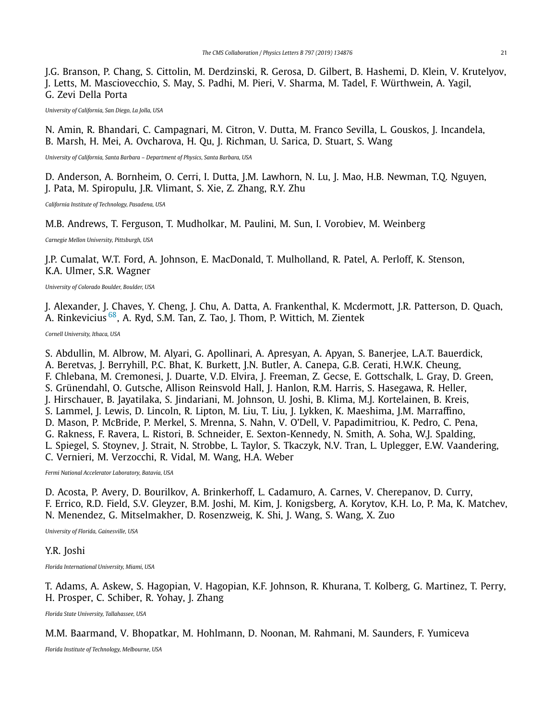J.G. Branson, P. Chang, S. Cittolin, M. Derdzinski, R. Gerosa, D. Gilbert, B. Hashemi, D. Klein, V. Krutelyov, J. Letts, M. Masciovecchio, S. May, S. Padhi, M. Pieri, V. Sharma, M. Tadel, F. Würthwein, A. Yagil, G. Zevi Della Porta

*University of California, San Diego, La Jolla, USA*

N. Amin, R. Bhandari, C. Campagnari, M. Citron, V. Dutta, M. Franco Sevilla, L. Gouskos, J. Incandela, B. Marsh, H. Mei, A. Ovcharova, H. Qu, J. Richman, U. Sarica, D. Stuart, S. Wang

*University of California, Santa Barbara – Department of Physics, Santa Barbara, USA*

D. Anderson, A. Bornheim, O. Cerri, I. Dutta, J.M. Lawhorn, N. Lu, J. Mao, H.B. Newman, T.Q. Nguyen, J. Pata, M. Spiropulu, J.R. Vlimant, S. Xie, Z. Zhang, R.Y. Zhu

*California Institute of Technology, Pasadena, USA*

M.B. Andrews, T. Ferguson, T. Mudholkar, M. Paulini, M. Sun, I. Vorobiev, M. Weinberg

*Carnegie Mellon University, Pittsburgh, USA*

J.P. Cumalat, W.T. Ford, A. Johnson, E. MacDonald, T. Mulholland, R. Patel, A. Perloff, K. Stenson, K.A. Ulmer, S.R. Wagner

*University of Colorado Boulder, Boulder, USA*

J. Alexander, J. Chaves, Y. Cheng, J. Chu, A. Datta, A. Frankenthal, K. Mcdermott, J.R. Patterson, D. Quach, A. Rinkevicius [68,](#page-24-0) A. Ryd, S.M. Tan, Z. Tao, J. Thom, P. Wittich, M. Zientek

*Cornell University, Ithaca, USA*

S. Abdullin, M. Albrow, M. Alyari, G. Apollinari, A. Apresyan, A. Apyan, S. Banerjee, L.A.T. Bauerdick, A. Beretvas, J. Berryhill, P.C. Bhat, K. Burkett, J.N. Butler, A. Canepa, G.B. Cerati, H.W.K. Cheung, F. Chlebana, M. Cremonesi, J. Duarte, V.D. Elvira, J. Freeman, Z. Gecse, E. Gottschalk, L. Gray, D. Green, S. Grünendahl, O. Gutsche, Allison Reinsvold Hall, J. Hanlon, R.M. Harris, S. Hasegawa, R. Heller, J. Hirschauer, B. Jayatilaka, S. Jindariani, M. Johnson, U. Joshi, B. Klima, M.J. Kortelainen, B. Kreis, S. Lammel, J. Lewis, D. Lincoln, R. Lipton, M. Liu, T. Liu, J. Lykken, K. Maeshima, J.M. Marraffino, D. Mason, P. McBride, P. Merkel, S. Mrenna, S. Nahn, V. O'Dell, V. Papadimitriou, K. Pedro, C. Pena, G. Rakness, F. Ravera, L. Ristori, B. Schneider, E. Sexton-Kennedy, N. Smith, A. Soha, W.J. Spalding, L. Spiegel, S. Stoynev, J. Strait, N. Strobbe, L. Taylor, S. Tkaczyk, N.V. Tran, L. Uplegger, E.W. Vaandering, C. Vernieri, M. Verzocchi, R. Vidal, M. Wang, H.A. Weber

*Fermi National Accelerator Laboratory, Batavia, USA*

D. Acosta, P. Avery, D. Bourilkov, A. Brinkerhoff, L. Cadamuro, A. Carnes, V. Cherepanov, D. Curry, F. Errico, R.D. Field, S.V. Gleyzer, B.M. Joshi, M. Kim, J. Konigsberg, A. Korytov, K.H. Lo, P. Ma, K. Matchev, N. Menendez, G. Mitselmakher, D. Rosenzweig, K. Shi, J. Wang, S. Wang, X. Zuo

*University of Florida, Gainesville, USA*

Y.R. Joshi

*Florida International University, Miami, USA*

T. Adams, A. Askew, S. Hagopian, V. Hagopian, K.F. Johnson, R. Khurana, T. Kolberg, G. Martinez, T. Perry, H. Prosper, C. Schiber, R. Yohay, J. Zhang

*Florida State University, Tallahassee, USA*

M.M. Baarmand, V. Bhopatkar, M. Hohlmann, D. Noonan, M. Rahmani, M. Saunders, F. Yumiceva

*Florida Institute of Technology, Melbourne, USA*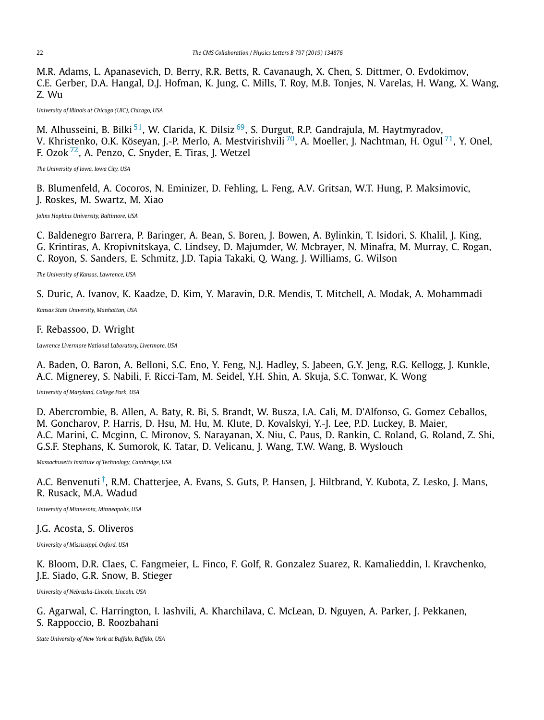M.R. Adams, L. Apanasevich, D. Berry, R.R. Betts, R. Cavanaugh, X. Chen, S. Dittmer, O. Evdokimov, C.E. Gerber, D.A. Hangal, D.J. Hofman, K. Jung, C. Mills, T. Roy, M.B. Tonjes, N. Varelas, H. Wang, X. Wang, Z. Wu

*University of Illinois at Chicago (UIC), Chicago, USA*

M. Alhusseini, B. Bilki<sup>51</sup>, W. Clarida, K. Dilsiz<sup>69</sup>, S. Durgut, R.P. Gandrajula, M. Haytmyradov, V. Khristenko, O.K. Köseyan, J.-P. Merlo, A. Mestvirishvili [70,](#page-24-0) A. Moeller, J. Nachtman, H. Ogul [71,](#page-24-0) Y. Onel, F. Ozok [72,](#page-24-0) A. Penzo, C. Snyder, E. Tiras, J. Wetzel

*The University of Iowa, Iowa City, USA*

B. Blumenfeld, A. Cocoros, N. Eminizer, D. Fehling, L. Feng, A.V. Gritsan, W.T. Hung, P. Maksimovic, J. Roskes, M. Swartz, M. Xiao

*Johns Hopkins University, Baltimore, USA*

C. Baldenegro Barrera, P. Baringer, A. Bean, S. Boren, J. Bowen, A. Bylinkin, T. Isidori, S. Khalil, J. King, G. Krintiras, A. Kropivnitskaya, C. Lindsey, D. Majumder, W. Mcbrayer, N. Minafra, M. Murray, C. Rogan, C. Royon, S. Sanders, E. Schmitz, J.D. Tapia Takaki, Q. Wang, J. Williams, G. Wilson

*The University of Kansas, Lawrence, USA*

S. Duric, A. Ivanov, K. Kaadze, D. Kim, Y. Maravin, D.R. Mendis, T. Mitchell, A. Modak, A. Mohammadi

*Kansas State University, Manhattan, USA*

#### F. Rebassoo, D. Wright

*Lawrence Livermore National Laboratory, Livermore, USA*

A. Baden, O. Baron, A. Belloni, S.C. Eno, Y. Feng, N.J. Hadley, S. Jabeen, G.Y. Jeng, R.G. Kellogg, J. Kunkle, A.C. Mignerey, S. Nabili, F. Ricci-Tam, M. Seidel, Y.H. Shin, A. Skuja, S.C. Tonwar, K. Wong

*University of Maryland, College Park, USA*

D. Abercrombie, B. Allen, A. Baty, R. Bi, S. Brandt, W. Busza, I.A. Cali, M. D'Alfonso, G. Gomez Ceballos, M. Goncharov, P. Harris, D. Hsu, M. Hu, M. Klute, D. Kovalskyi, Y.-J. Lee, P.D. Luckey, B. Maier, A.C. Marini, C. Mcginn, C. Mironov, S. Narayanan, X. Niu, C. Paus, D. Rankin, C. Roland, G. Roland, Z. Shi, G.S.F. Stephans, K. Sumorok, K. Tatar, D. Velicanu, J. Wang, T.W. Wang, B. Wyslouch

*Massachusetts Institute of Technology, Cambridge, USA*

A.C. Benvenuti [†,](#page-23-0) R.M. Chatterjee, A. Evans, S. Guts, P. Hansen, J. Hiltbrand, Y. Kubota, Z. Lesko, J. Mans, R. Rusack, M.A. Wadud

*University of Minnesota, Minneapolis, USA*

### J.G. Acosta, S. Oliveros

*University of Mississippi, Oxford, USA*

K. Bloom, D.R. Claes, C. Fangmeier, L. Finco, F. Golf, R. Gonzalez Suarez, R. Kamalieddin, I. Kravchenko, J.E. Siado, G.R. Snow, B. Stieger

*University of Nebraska-Lincoln, Lincoln, USA*

G. Agarwal, C. Harrington, I. Iashvili, A. Kharchilava, C. McLean, D. Nguyen, A. Parker, J. Pekkanen, S. Rappoccio, B. Roozbahani

*State University of New York at Buffalo, Buffalo, USA*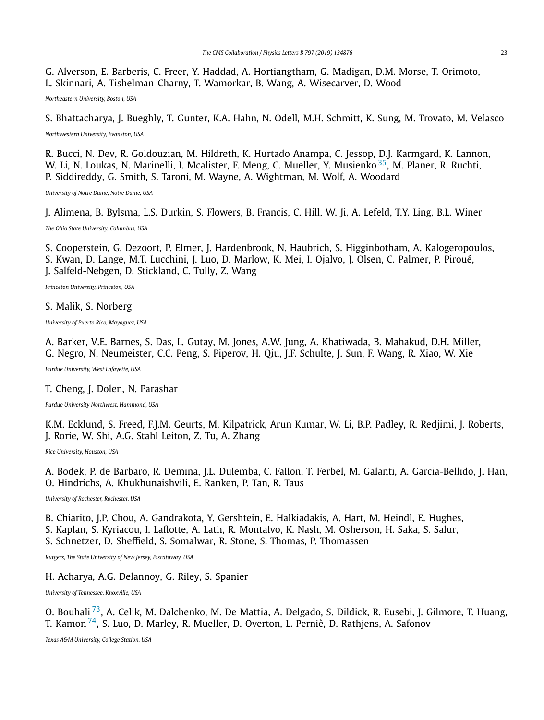G. Alverson, E. Barberis, C. Freer, Y. Haddad, A. Hortiangtham, G. Madigan, D.M. Morse, T. Orimoto, L. Skinnari, A. Tishelman-Charny, T. Wamorkar, B. Wang, A. Wisecarver, D. Wood

*Northeastern University, Boston, USA*

S. Bhattacharya, J. Bueghly, T. Gunter, K.A. Hahn, N. Odell, M.H. Schmitt, K. Sung, M. Trovato, M. Velasco *Northwestern University, Evanston, USA*

R. Bucci, N. Dev, R. Goldouzian, M. Hildreth, K. Hurtado Anampa, C. Jessop, D.J. Karmgard, K. Lannon, W. Li, N. Loukas, N. Marinelli, I. Mcalister, F. Meng, C. Mueller, Y. Musienko <sup>[35](#page-23-0)</sup>, M. Planer, R. Ruchti, P. Siddireddy, G. Smith, S. Taroni, M. Wayne, A. Wightman, M. Wolf, A. Woodard

*University of Notre Dame, Notre Dame, USA*

J. Alimena, B. Bylsma, L.S. Durkin, S. Flowers, B. Francis, C. Hill, W. Ji, A. Lefeld, T.Y. Ling, B.L. Winer

*The Ohio State University, Columbus, USA*

S. Cooperstein, G. Dezoort, P. Elmer, J. Hardenbrook, N. Haubrich, S. Higginbotham, A. Kalogeropoulos, S. Kwan, D. Lange, M.T. Lucchini, J. Luo, D. Marlow, K. Mei, I. Ojalvo, J. Olsen, C. Palmer, P. Piroué, J. Salfeld-Nebgen, D. Stickland, C. Tully, Z. Wang

*Princeton University, Princeton, USA*

#### S. Malik, S. Norberg

*University of Puerto Rico, Mayaguez, USA*

A. Barker, V.E. Barnes, S. Das, L. Gutay, M. Jones, A.W. Jung, A. Khatiwada, B. Mahakud, D.H. Miller, G. Negro, N. Neumeister, C.C. Peng, S. Piperov, H. Qiu, J.F. Schulte, J. Sun, F. Wang, R. Xiao, W. Xie

*Purdue University, West Lafayette, USA*

#### T. Cheng, J. Dolen, N. Parashar

*Purdue University Northwest, Hammond, USA*

K.M. Ecklund, S. Freed, F.J.M. Geurts, M. Kilpatrick, Arun Kumar, W. Li, B.P. Padley, R. Redjimi, J. Roberts, J. Rorie, W. Shi, A.G. Stahl Leiton, Z. Tu, A. Zhang

*Rice University, Houston, USA*

A. Bodek, P. de Barbaro, R. Demina, J.L. Dulemba, C. Fallon, T. Ferbel, M. Galanti, A. Garcia-Bellido, J. Han, O. Hindrichs, A. Khukhunaishvili, E. Ranken, P. Tan, R. Taus

*University of Rochester, Rochester, USA*

B. Chiarito, J.P. Chou, A. Gandrakota, Y. Gershtein, E. Halkiadakis, A. Hart, M. Heindl, E. Hughes, S. Kaplan, S. Kyriacou, I. Laflotte, A. Lath, R. Montalvo, K. Nash, M. Osherson, H. Saka, S. Salur, S. Schnetzer, D. Sheffield, S. Somalwar, R. Stone, S. Thomas, P. Thomassen

*Rutgers, The State University of New Jersey, Piscataway, USA*

## H. Acharya, A.G. Delannoy, G. Riley, S. Spanier

*University of Tennessee, Knoxville, USA*

O. Bouhali<sup>73</sup>, A. Celik, M. Dalchenko, M. De Mattia, A. Delgado, S. Dildick, R. Eusebi, J. Gilmore, T. Huang, T. Kamon  $^{74}$ , S. Luo, D. Marley, R. Mueller, D. Overton, L. Perniè, D. Rathjens, A. Safonov

*Texas A&M University, College Station, USA*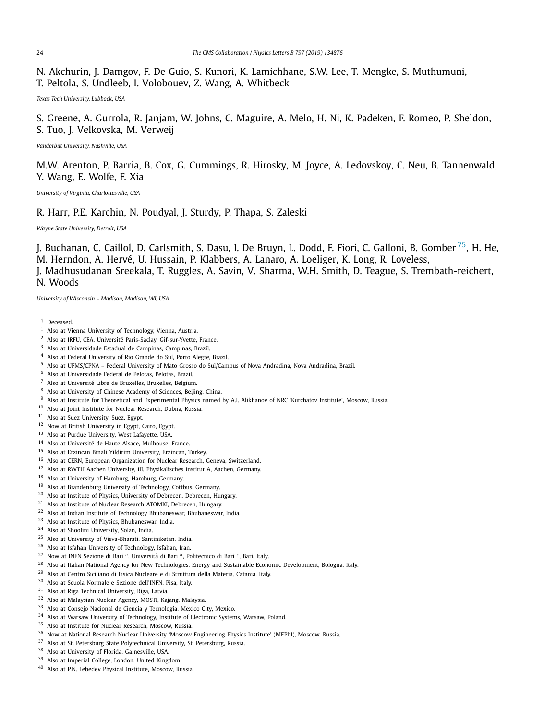### <span id="page-23-0"></span>N. Akchurin, J. Damgov, F. De Guio, S. Kunori, K. Lamichhane, S.W. Lee, T. Mengke, S. Muthumuni, T. Peltola, S. Undleeb, I. Volobouev, Z. Wang, A. Whitbeck

*Texas Tech University, Lubbock, USA*

S. Greene, A. Gurrola, R. Janjam, W. Johns, C. Maguire, A. Melo, H. Ni, K. Padeken, F. Romeo, P. Sheldon, S. Tuo, J. Velkovska, M. Verweij

*Vanderbilt University, Nashville, USA*

M.W. Arenton, P. Barria, B. Cox, G. Cummings, R. Hirosky, M. Joyce, A. Ledovskoy, C. Neu, B. Tannenwald, Y. Wang, E. Wolfe, F. Xia

*University of Virginia, Charlottesville, USA*

### R. Harr, P.E. Karchin, N. Poudyal, J. Sturdy, P. Thapa, S. Zaleski

*Wayne State University, Detroit, USA*

J. Buchanan, C. Caillol, D. Carlsmith, S. Dasu, I. De Bruyn, L. Dodd, F. Fiori, C. Galloni, B. Gomber [75,](#page-24-0) H. He, M. Herndon, A. Hervé, U. Hussain, P. Klabbers, A. Lanaro, A. Loeliger, K. Long, R. Loveless, J. Madhusudanan Sreekala, T. Ruggles, A. Savin, V. Sharma, W.H. Smith, D. Teague, S. Trembath-reichert, N. Woods

*University of Wisconsin – Madison, Madison, WI, USA*

- † Deceased.
- <sup>1</sup> Also at Vienna University of Technology, Vienna, Austria.
- <sup>2</sup> Also at IRFU, CEA, Université Paris-Saclay, Gif-sur-Yvette, France.
- <sup>3</sup> Also at Universidade Estadual de Campinas, Campinas, Brazil.
- <sup>4</sup> Also at Federal University of Rio Grande do Sul, Porto Alegre, Brazil.
- <sup>5</sup> Also at UFMS/CPNA Federal University of Mato Grosso do Sul/Campus of Nova Andradina, Nova Andradina, Brazil.
- <sup>6</sup> Also at Universidade Federal de Pelotas, Pelotas, Brazil.
- <sup>7</sup> Also at Université Libre de Bruxelles, Bruxelles, Belgium.
- <sup>8</sup> Also at University of Chinese Academy of Sciences, Beijing, China.
- <sup>9</sup> Also at Institute for Theoretical and Experimental Physics named by A.I. Alikhanov of NRC 'Kurchatov Institute', Moscow, Russia.
- <sup>10</sup> Also at Joint Institute for Nuclear Research, Dubna, Russia.
- <sup>11</sup> Also at Suez University, Suez, Egypt.
- <sup>12</sup> Now at British University in Egypt, Cairo, Egypt.
- <sup>13</sup> Also at Purdue University, West Lafayette, USA.
- <sup>14</sup> Also at Université de Haute Alsace, Mulhouse, France.
- <sup>15</sup> Also at Erzincan Binali Yildirim University, Erzincan, Turkey.
- <sup>16</sup> Also at CERN, European Organization for Nuclear Research, Geneva, Switzerland.
- <sup>17</sup> Also at RWTH Aachen University, III. Physikalisches Institut A, Aachen, Germany.
- <sup>18</sup> Also at University of Hamburg, Hamburg, Germany.
- <sup>19</sup> Also at Brandenburg University of Technology, Cottbus, Germany.
- $20$  Also at Institute of Physics, University of Debrecen, Debrecen, Hungary.
- <sup>21</sup> Also at Institute of Nuclear Research ATOMKI, Debrecen, Hungary.
- <sup>22</sup> Also at Indian Institute of Technology Bhubaneswar, Bhubaneswar, India.
- <sup>23</sup> Also at Institute of Physics, Bhubaneswar, India.
- <sup>24</sup> Also at Shoolini University, Solan, India.
- <sup>25</sup> Also at University of Visva-Bharati, Santiniketan, India.
- <sup>26</sup> Also at Isfahan University of Technology, Isfahan, Iran.
- <sup>27</sup> Now at INFN Sezione di Bari<sup>a</sup>, Università di Bari<sup>b</sup>, Politecnico di Bari<sup>c</sup>, Bari, Italy.
- <sup>28</sup> Also at Italian National Agency for New Technologies, Energy and Sustainable Economic Development, Bologna, Italy.
- <sup>29</sup> Also at Centro Siciliano di Fisica Nucleare e di Struttura della Materia, Catania, Italy.
- <sup>30</sup> Also at Scuola Normale e Sezione dell'INFN, Pisa, Italy.
- <sup>31</sup> Also at Riga Technical University, Riga, Latvia.
- <sup>32</sup> Also at Malaysian Nuclear Agency, MOSTI, Kajang, Malaysia.
- <sup>33</sup> Also at Consejo Nacional de Ciencia y Tecnología, Mexico City, Mexico.
- <sup>34</sup> Also at Warsaw University of Technology, Institute of Electronic Systems, Warsaw, Poland.
- <sup>35</sup> Also at Institute for Nuclear Research, Moscow, Russia.
- <sup>36</sup> Now at National Research Nuclear University 'Moscow Engineering Physics Institute' (MEPhI), Moscow, Russia.
- <sup>37</sup> Also at St. Petersburg State Polytechnical University, St. Petersburg, Russia.
- <sup>38</sup> Also at University of Florida, Gainesville, USA.
- <sup>39</sup> Also at Imperial College, London, United Kingdom.
- <sup>40</sup> Also at P.N. Lebedev Physical Institute, Moscow, Russia.